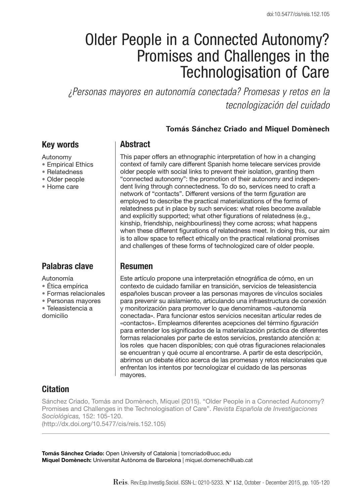# Older People in a Connected Autonomy? Promises and Challenges in the Technologisation of Care

*¿Personas mayores en autonomía conectada? Promesas y retos en la tecnologización del cuidado*

#### **Tomás Sánchez Criado and Miquel Domènech**

#### Key words

#### Autonomy

- Empirical Ethics
- Relatedness
- Older people
- Home care

## Palabras clave

Autonomía

- Ética empírica
- Formas relacionales
- Personas mayores
- Teleasistencia a

domicilio

## **Abstract**

This paper offers an ethnographic interpretation of how in a changing context of family care different Spanish home telecare services provide older people with social links to prevent their isolation, granting them "connected autonomy": the promotion of their autonomy and independent living through connectedness. To do so, services need to craft a network of "contacts". Different versions of the term *figuration* are employed to describe the practical materializations of the forms of relatedness put in place by such services: what roles become available and explicitly supported; what other figurations of relatedness (e.g., kinship, friendship, neighbourliness) they come across; what happens when these different figurations of relatedness meet. In doing this, our aim is to allow space to reflect ethically on the practical relational promises and challenges of these forms of technologized care of older people.

#### Resumen

Este artículo propone una interpretación etnográfica de cómo, en un contexto de cuidado familiar en transición, servicios de teleasistencia españoles buscan proveer a las personas mayores de vínculos sociales para prevenir su aislamiento, articulando una infraestructura de conexión y monitorización para promover lo que denominamos «autonomía conectada». Para funcionar estos servicios necesitan articular redes de «contactos». Empleamos diferentes acepciones del término *figuración* para entender los significados de la materialización práctica de diferentes formas relacionales por parte de estos servicios, prestando atención a: los roles que hacen disponibles; con qué otras figuraciones relacionales se encuentran y qué ocurre al encontrarse. A partir de esta descripción, abrimos un debate ético acerca de las promesas y retos relacionales que enfrentan los intentos por tecnologizar el cuidado de las personas mayores.

## **Citation**

Sánchez Criado, Tomás and Domènech, Miquel (2015). "Older People in a Connected Autonomy? Promises and Challenges in the Technologisation of Care". *Revista Española de Investigaciones Sociológicas,* 152: 105-120. (http://dx.doi.org/10.5477/cis/reis.152.105)

Tomás Sánchez Criado: Open University of Catalonia | tomcriado@uoc.edu Miquel Domènech: Universitat Autònoma de Barcelona | miquel.domenech@uab.cat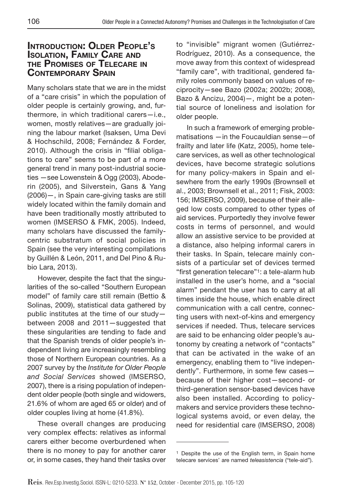## Introduction: Older People's Isolation, Family Care and the Promises of Telecare in Contemporary Spain

Many scholars state that we are in the midst of a "care crisis" in which the population of older people is certainly growing, and, furthermore, in which traditional carers—i.e., women, mostly relatives—are gradually joining the labour market (Isaksen, Uma Devi & Hochschild, 2008; Fernández & Forder, 2010). Although the crisis in "filial obligations to care" seems to be part of a more general trend in many post-industrial societies —see Lowenstein & Ogg (2003), Aboderin (2005), and Silverstein, Gans & Yang (2006)—, in Spain care-giving tasks are still widely located within the family domain and have been traditionally mostly attributed to women (IMSERSO & FMK, 2005). Indeed, many scholars have discussed the familycentric substratum of social policies in Spain (see the very interesting compilations by Guillén & León, 2011, and Del Pino & Rubio Lara, 2013).

However, despite the fact that the singularities of the so-called "Southern European model" of family care still remain (Bettio & Solinas, 2009), statistical data gathered by public institutes at the time of our study between 2008 and 2011—suggested that these singularities are tending to fade and that the Spanish trends of older people's independent living are increasingly resembling those of Northern European countries. As a 2007 survey by the *Institute for Older People and Social Services* showed (IMSERSO, 2007), there is a rising population of independent older people (both single and widowers, 21.6% of whom are aged 65 or older) and of older couples living at home (41.8%).

These overall changes are producing very complex effects: relatives as informal carers either become overburdened when there is no money to pay for another carer or, in some cases, they hand their tasks over to "invisible" migrant women (Gutiérrez-Rodríguez, 2010). As a consequence, the move away from this context of widespread "family care", with traditional, gendered family roles commonly based on values of reciprocity—see Bazo (2002a; 2002b; 2008), Bazo & Ancizu, 2004)—, might be a potential source of loneliness and isolation for older people.

In such a framework of emerging problematisations —in the Foucauldian sense—of frailty and later life (Katz, 2005), home telecare services, as well as other technological devices, have become strategic solutions for many policy-makers in Spain and elsewhere from the early 1990s (Brownsell et al., 2003; Brownsell et al., 2011; Fisk, 2003: 156; IMSERSO, 2009), because of their alleged low costs compared to other types of aid services. Purportedly they involve fewer costs in terms of personnel, and would allow an assistive service to be provided at a distance, also helping informal carers in their tasks. In Spain, telecare mainly consists of a particular set of devices termed "first generation telecare"1: a tele-alarm hub installed in the user's home, and a "social alarm" pendant the user has to carry at all times inside the house, which enable direct communication with a call centre, connecting users with next-of-kins and emergency services if needed. Thus, telecare services are said to be enhancing older people's autonomy by creating a network of "contacts" that can be activated in the wake of an emergency, enabling them to "live independently". Furthermore, in some few cases because of their higher cost—second- or third-generation sensor-based devices have also been installed. According to policymakers and service providers these technological systems avoid, or even delay, the need for residential care (IMSERSO, 2008)

<sup>1</sup> Despite the use of the English term, in Spain home telecare services' are named *teleasistencia* ("tele-aid").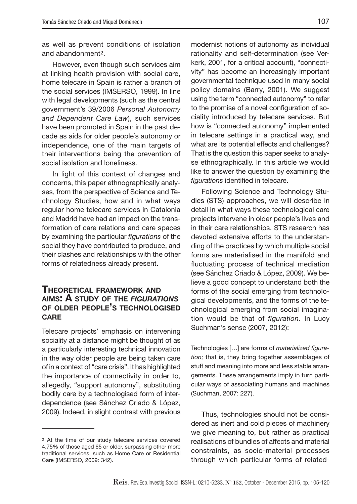as well as prevent conditions of isolation and abandonment2.

However, even though such services aim at linking health provision with social care, home telecare in Spain is rather a branch of the social services (IMSERSO, 1999). In line with legal developments (such as the central government's 39/2006 *Personal Autonomy and Dependent Care Law*), such services have been promoted in Spain in the past decade as aids for older people's autonomy or independence, one of the main targets of their interventions being the prevention of social isolation and loneliness.

In light of this context of changes and concerns, this paper ethnographically analyses, from the perspective of Science and Technology Studies, how and in what ways regular home telecare services in Catalonia and Madrid have had an impact on the transformation of care relations and care spaces by examining the particular *figurations* of the social they have contributed to produce, and their clashes and relationships with the other forms of relatedness already present.

#### Theoretical framework and aims: A study of the *figurations* of older people's technologised **CARE**

Telecare projects' emphasis on intervening sociality at a distance might be thought of as a particularly interesting technical innovation in the way older people are being taken care of in a context of "care crisis". It has highlighted the importance of connectivity in order to, allegedly, "support autonomy", substituting bodily care by a technologised form of interdependence (see Sánchez Criado & López, 2009). Indeed, in slight contrast with previous

modernist notions of autonomy as individual rationality and self-determination (see Verkerk, 2001, for a critical account), "connectivity" has become an increasingly important governmental technique used in many social policy domains (Barry, 2001). We suggest using the term "connected autonomy" to refer to the promise of a novel configuration of sociality introduced by telecare services. But how is "connected autonomy" implemented in telecare settings in a practical way, and what are its potential effects and challenges? That is the question this paper seeks to analyse ethnographically. In this article we would like to answer the question by examining the *figurations* identified in telecare.

Following Science and Technology Studies (STS) approaches, we will describe in detail in what ways these technological care projects intervene in older people's lives and in their care relationships. STS research has devoted extensive efforts to the understanding of the practices by which multiple social forms are materialised in the manifold and fluctuating process of technical mediation (see Sánchez Criado & López, 2009). We believe a good concept to understand both the forms of the social emerging from technological developments, and the forms of the technological emerging from social imagination would be that of *figuration*. In Lucy Suchman's sense (2007, 2012):

Technologies […] are forms of *materialized figuration;* that is, they bring together assemblages of stuff and meaning into more and less stable arrangements. These arrangements imply in turn particular ways of associating humans and machines (Suchman, 2007: 227).

Thus, technologies should not be considered as inert and cold pieces of machinery we give meaning to, but rather as practical realisations of bundles of affects and material constraints, as socio-material processes through which particular forms of related-

<sup>2</sup> At the time of our study telecare services covered 4.75% of those aged 65 or older, surpassing other more traditional services, such as Home Care or Residential Care (IMSERSO, 2009: 342).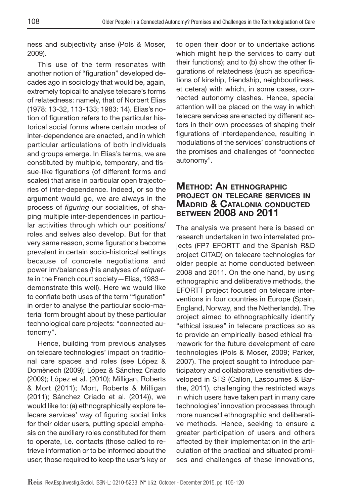ness and subjectivity arise (Pols & Moser, 2009).

This use of the term resonates with another notion of "figuration" developed decades ago in sociology that would be, again, extremely topical to analyse telecare's forms of relatedness: namely, that of Norbert Elias (1978: 13-32, 113-133; 1983: 14). Elias's notion of figuration refers to the particular historical social forms where certain modes of inter-dependence are enacted, and in which particular articulations of both individuals and groups emerge. In Elias's terms, we are constituted by multiple, temporary, and tissue-like figurations (of different forms and scales) that arise in particular open trajectories of inter-dependence. Indeed, or so the argument would go, we are always in the process of *figuring* our socialities, of shaping multiple inter-dependences in particular activities through which our positions/ roles and selves also develop. But for that very same reason, some figurations become prevalent in certain socio-historical settings because of concrete negotiations and power im/balances (his analyses of *etiquette* in the French court society—Elias, 1983 demonstrate this well). Here we would like to conflate both uses of the term "figuration" in order to analyse the particular socio-material form brought about by these particular technological care projects: "connected autonomy".

Hence, building from previous analyses on telecare technologies' impact on traditional care spaces and roles (see López & Domènech (2009); López & Sánchez Criado (2009); López et al. (2010); Milligan, Roberts & Mort (2011); Mort, Roberts & Milligan (2011); Sánchez Criado et al. (2014)), we would like to: (a) ethnographically explore telecare services' way of figuring social links for their older users, putting special emphasis on the auxiliary roles constituted for them to operate, i.e. contacts (those called to retrieve information or to be informed about the user; those required to keep the user's key or to open their door or to undertake actions which might help the services to carry out their functions); and to (b) show the other figurations of relatedness (such as specifications of kinship, friendship, neighbourliness, et cetera) with which, in some cases, connected autonomy clashes. Hence, special attention will be placed on the way in which telecare services are enacted by different actors in their own processes of shaping their figurations of interdependence, resulting in modulations of the services' constructions of the promises and challenges of "connected autonomy".

## Method: An ethnographic project on telecare services in Madrid & Catalonia conducted between 2008 and 2011

The analysis we present here is based on research undertaken in two interrelated projects (FP7 EFORTT and the Spanish R&D project CITAD) on telecare technologies for older people at home conducted between 2008 and 2011. On the one hand, by using ethnographic and deliberative methods, the EFORTT project focused on telecare interventions in four countries in Europe (Spain, England, Norway, and the Netherlands). The project aimed to ethnographically identify "ethical issues" in telecare practices so as to provide an empirically-based ethical framework for the future development of care technologies (Pols & Moser, 2009; Parker, 2007). The project sought to introduce participatory and collaborative sensitivities developed in STS (Callon, Lascoumes & Barthe, 2011), challenging the restricted ways in which users have taken part in many care technologies' innovation processes through more nuanced ethnographic and deliberative methods. Hence, seeking to ensure a greater participation of users and others affected by their implementation in the articulation of the practical and situated promises and challenges of these innovations,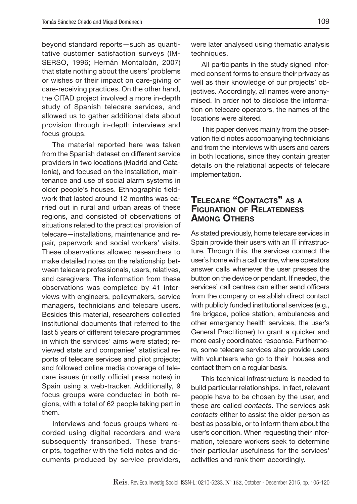beyond standard reports—such as quantitative customer satisfaction surveys (IM-SERSO, 1996; Hernán Montalbán, 2007) that state nothing about the users' problems or wishes or their impact on care-giving or care-receiving practices. On the other hand, the CITAD project involved a more in-depth study of Spanish telecare services, and allowed us to gather additional data about provision through in-depth interviews and focus groups.

The material reported here was taken from the Spanish dataset on different service providers in two locations (Madrid and Catalonia), and focused on the installation, maintenance and use of social alarm systems in older people's houses. Ethnographic fieldwork that lasted around 12 months was carried out in rural and urban areas of these regions, and consisted of observations of situations related to the practical provision of telecare—installations, maintenance and repair, paperwork and social workers' visits. These observations allowed researchers to make detailed notes on the relationship between telecare professionals, users, relatives, and caregivers. The information from these observations was completed by 41 interviews with engineers, policymakers, service managers, technicians and telecare users. Besides this material, researchers collected institutional documents that referred to the last 5 years of different telecare programmes in which the services' aims were stated; reviewed state and companies' statistical reports of telecare services and pilot projects; and followed online media coverage of telecare issues (mostly official press notes) in Spain using a web-tracker. Additionally, 9 focus groups were conducted in both regions, with a total of 62 people taking part in them.

Interviews and focus groups where recorded using digital recorders and were subsequently transcribed. These transcripts, together with the field notes and documents produced by service providers,

were later analysed using thematic analysis techniques.

All participants in the study signed informed consent forms to ensure their privacy as well as their knowledge of our projects' objectives. Accordingly, all names were anonymised. In order not to disclose the information on telecare operators, the names of the locations were altered.

This paper derives mainly from the observation field notes accompanying technicians and from the interviews with users and carers in both locations, since they contain greater details on the relational aspects of telecare implementation.

## Telecare "Contacts" as a Figuration of Relatedness Among Others

As stated previously, home telecare services in Spain provide their users with an IT infrastructure. Through this, the services connect the user's home with a call centre, where operators answer calls whenever the user presses the button on the device or pendant*.* If needed, the services' call centres can either send officers from the company or establish direct contact with publicly funded institutional services (e.g., fire brigade, police station, ambulances and other emergency health services, the user's General Practitioner) to grant a quicker and more easily coordinated response. Furthermore, some telecare services also provide users with volunteers who go to their houses and contact them on a regular basis.

This technical infrastructure is needed to build particular relationships. In fact, relevant people have to be chosen by the user, and these are called *contacts*. The services ask *contacts* either to assist the older person as best as possible, or to inform them about the user's condition. When requesting their information, telecare workers seek to determine their particular usefulness for the services' activities and rank them accordingly.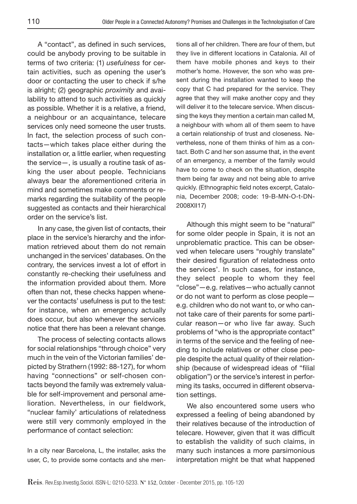A "contact", as defined in such services, could be anybody proving to be suitable in terms of two criteria: (1) *usefulness* for certain activities, such as opening the user's door or contacting the user to check if s/he is alright; (2) geographic *proximity* and availability to attend to such activities as quickly as possible. Whether it is a relative, a friend, a neighbour or an acquaintance, telecare services only need someone the user trusts. In fact, the selection process of such contacts—which takes place either during the installation or, a little earlier, when requesting the service—, is usually a routine task of asking the user about people. Technicians always bear the aforementioned criteria in mind and sometimes make comments or remarks regarding the suitability of the people suggested as contacts and their hierarchical order on the service's list.

In any case, the given list of contacts, their place in the service's hierarchy and the information retrieved about them do not remain unchanged in the services' databases. On the contrary, the services invest a lot of effort in constantly re-checking their usefulness and the information provided about them. More often than not, these checks happen whenever the contacts' usefulness is put to the test: for instance, when an emergency actually does occur, but also whenever the services notice that there has been a relevant change.

The process of selecting contacts allows for social relationships "through choice" very much in the vein of the Victorian families' depicted by Strathern (1992: 88-127), for whom having "connections" or self-chosen contacts beyond the family was extremely valuable for self-improvement and personal amelioration. Nevertheless, in our fieldwork, "nuclear family' articulations of relatedness were still very commonly employed in the performance of contact selection:

In a city near Barcelona, L, the installer, asks the user, C, to provide some contacts and she mentions all of her children. There are four of them, but they live in different locations in Catalonia. All of them have mobile phones and keys to their mother's home. However, the son who was present during the installation wanted to keep the copy that C had prepared for the service. They agree that they will make another copy and they will deliver it to the telecare service. When discussing the keys they mention a certain man called M, a neighbour with whom all of them seem to have a certain relationship of trust and closeness. Nevertheless, none of them thinks of him as a contact. Both C and her son assume that, in the event of an emergency, a member of the family would have to come to check on the situation, despite them being far away and not being able to arrive quickly. (Ethnographic field notes excerpt, Catalonia, December 2008; code: 19-B-MN-O-t-DN-2008XII17)

Although this might seem to be "natural" for some older people in Spain, it is not an unproblematic practice. This can be observed when telecare users "roughly translate" their desired figuration of relatedness onto the services'. In such cases, for instance, they select people to whom they feel "close"—e.g. relatives—who actually cannot or do not want to perform as close people e.g. children who do not want to, or who cannot take care of their parents for some particular reason—or who live far away. Such problems of "who is the appropriate contact" in terms of the service and the feeling of needing to include relatives or other close people despite the actual quality of their relationship (because of widespread ideas of "filial obligation") or the service's interest in performing its tasks, occurred in different observation settings.

We also encountered some users who expressed a feeling of being abandoned by their relatives because of the introduction of telecare. However, given that it was difficult to establish the validity of such claims, in many such instances a more parsimonious interpretation might be that what happened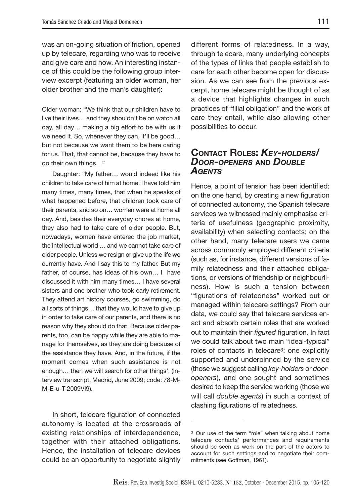was an on-going situation of friction, opened up by telecare, regarding who was to receive and give care and how. An interesting instance of this could be the following group interview excerpt (featuring an older woman, her older brother and the man's daughter):

Older woman: "We think that our children have to live their lives… and they shouldn't be on watch all day, all day… making a big effort to be with us if we need it. So, whenever they can, it'll be good… but not because we want them to be here caring for us. That, that cannot be, because they have to do their own things…"

Daughter: "My father… would indeed like his children to take care of him at home. I have told him many times, many times, that when he speaks of what happened before, that children took care of their parents, and so on… women were at home all day. And, besides their everyday chores at home, they also had to take care of older people. But, nowadays, women have entered the job market, the intellectual world … and we cannot take care of older people. Unless we resign or give up the life we currently have. And I say this to my father. But my father, of course, has ideas of his own… I have discussed it with him many times… I have several sisters and one brother who took early retirement. They attend art history courses, go swimming, do all sorts of things… that they would have to give up in order to take care of our parents, and there is no reason why they should do that. Because older parents, too, can be happy while they are able to manage for themselves, as they are doing because of the assistance they have. And, in the future, if the moment comes when such assistance is not enough… then we will search for other things'. (Interview transcript, Madrid, June 2009; code: 78-M-M-E-u-T-2009VI9).

In short, telecare figuration of connected autonomy is located at the crossroads of existing relationships of interdependence, together with their attached obligations. Hence, the installation of telecare devices could be an opportunity to negotiate slightly

different forms of relatedness. In a way, through telecare, many underlying concepts of the types of links that people establish to care for each other become open for discussion. As we can see from the previous excerpt, home telecare might be thought of as a device that highlights changes in such practices of "filial obligation" and the work of care they entail, while also allowing other possibilities to occur.

## Contact Roles: *Key-holders/ Door-openers* and *Double Agents*

Hence, a point of tension has been identified: on the one hand, by creating a new figuration of connected autonomy, the Spanish telecare services we witnessed mainly emphasise criteria of usefulness (geographic proximity, availability) when selecting contacts; on the other hand, many telecare users we came across commonly employed different criteria (such as, for instance, different versions of family relatedness and their attached obligations, or versions of friendship or neighbourliness). How is such a tension between "figurations of relatedness" worked out or managed within telecare settings? From our data, we could say that telecare services enact and absorb certain roles that are worked out to maintain their *figured* figuration. In fact we could talk about two main "ideal-typical" roles of contacts in telecare3: one explicitly supported and underpinned by the service (those we suggest calling *key-holders* or *dooropeners*), and one sought and sometimes desired to keep the service working (those we will call *double agents*) in such a context of clashing figurations of relatedness.

<sup>3</sup> Our use of the term "role" when talking about home telecare contacts' performances and requirements should be seen as work on the part of the actors to account for such settings and to negotiate their commitments (see Goffman, 1961).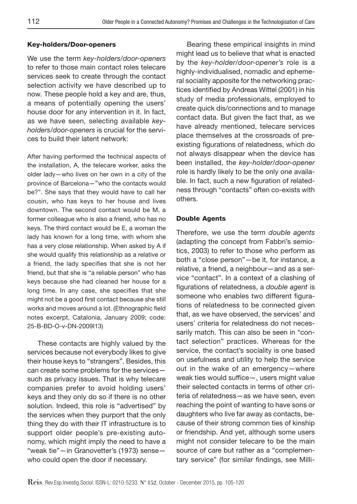#### Key-holders/Door-openers

We use the term *key-holders/door-openers* to refer to those main contact roles telecare services seek to create through the contact selection activity we have described up to now. These people hold a key and are, thus, a means of potentially opening the users' house door for any intervention in it. In fact, as we have seen, selecting available *keyholders/door-openers* is crucial for the services to build their latent network:

After having performed the technical aspects of the installation, A, the telecare worker, asks the older lady—who lives on her own in a city of the province of Barcelona—"who the contacts would be?". She says that they would have to call her cousin, who has keys to her house and lives downtown. The second contact would be M, a former colleague who is also a friend, who has no keys. The third contact would be E, a woman the lady has known for a long time, with whom she has a very close relationship. When asked by A if she would qualify this relationship as a relative or a friend, the lady specifies that she is not her friend, but that she is "a reliable person" who has keys because she had cleaned her house for a long time. In any case, she specifies that she might not be a good first contact because she still works and moves around a lot. (Ethnographic field notes excerpt, Catalonia, January 2009; code: 25-B-BD-O-v-DN-2009I13)

These contacts are highly valued by the services because not everybody likes to give their house keys to "strangers". Besides, this can create some problems for the services such as privacy issues. That is why telecare companies prefer to avoid holding users' keys and they only do so if there is no other solution. Indeed, this role is "advertised" by the services when they purport that the only thing they do with their IT infrastructure is to support older people's pre-existing autonomy, which might imply the need to have a "weak tie"—in Granovetter's (1973) sense who could open the door if necessary.

Bearing these empirical insights in mind might lead us to believe that what is enacted by the *key-holder/door-opener's* role is a highly-individualised, nomadic and ephemeral sociality apposite for the networking practices identified by Andreas Wittel (2001) in his study of media professionals, employed to create quick dis/connections and to manage contact data. But given the fact that, as we have already mentioned, telecare services place themselves at the crossroads of preexisting figurations of relatedness, which do not always disappear when the device has been installed, the *key-holder/door-opener* role is hardly likely to be the only one available. In fact, such a new figuration of relatedness through "contacts" often co-exists with others.

#### Double Agents

Therefore, we use the term *double agents*  (adapting the concept from Fabbri's semiotics, 2003) to refer to those who perform as both a "close person"—be it, for instance, a relative, a friend, a neighbour—and as a service "contact". In a context of a clashing of figurations of relatedness, a *double agent* is someone who enables two different figurations of relatedness to be connected given that, as we have observed, the services' and users' criteria for relatedness do not necessarily match. This can also be seen in "contact selection" practices. Whereas for the service, the contact's sociality is one based on usefulness and utility to help the service out in the wake of an emergency—where weak ties would suffice—, users might value their selected contacts in terms of other criteria of relatedness—as we have seen, even reaching the point of wanting to have sons or daughters who live far away as contacts, because of their strong common ties of kinship or friendship. And yet, although some users might not consider telecare to be the main source of care but rather as a "complementary service" (for similar findings, see Milli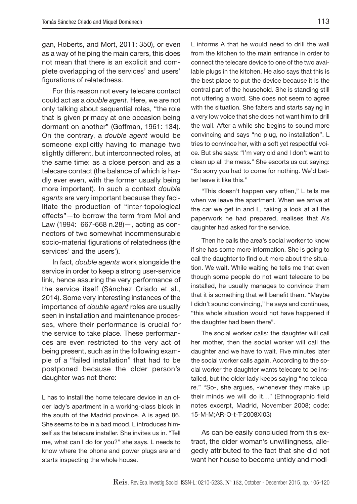gan, Roberts, and Mort, 2011: 350), or even as a way of helping the main carers, this does not mean that there is an explicit and complete overlapping of the services' and users' figurations of relatedness.

For this reason not every telecare contact could act as a *double agent*. Here, we are not only talking about sequential roles, "the role that is given primacy at one occasion being dormant on another" (Goffman, 1961: 134). On the contrary, a *double agent* would be someone explicitly having to manage two slightly different, but interconnected roles, at the same time: as a close person and as a telecare contact (the balance of which is hardly ever even, with the former usually being more important). In such a context *double agents* are very important because they facilitate the production of "inter-topological effects"—to borrow the term from Mol and Law (1994: 667-668 n.28)—, acting as connectors of two somewhat incommensurable socio-material figurations of relatedness (the services' and the users').

In fact, *double agents* work alongside the service in order to keep a strong user-service link, hence assuring the very performance of the service itself (Sánchez Criado et al., 2014). Some very interesting instances of the importance of *double agent* roles are usually seen in installation and maintenance processes, where their performance is crucial for the service to take place. These performances are even restricted to the very act of being present, such as in the following example of a "failed installation" that had to be postponed because the older person's daughter was not there:

L has to install the home telecare device in an older lady's apartment in a working-class block in the south of the Madrid province. A is aged 86. She seems to be in a bad mood. L introduces himself as the telecare installer. She invites us in. "Tell me, what can I do for you?" she says. L needs to know where the phone and power plugs are and starts inspecting the whole house.

L informs A that he would need to drill the wall from the kitchen to the main entrance in order to connect the telecare device to one of the two available plugs in the kitchen. He also says that this is the best place to put the device because it is the central part of the household. She is standing still not uttering a word. She does not seem to agree with the situation. She falters and starts saying in a very low voice that she does not want him to drill the wall. After a while she begins to sound more convincing and says "no plug, no installation". L tries to convince her, with a soft yet respectful voice. But she says: "I'm very old and I don't want to clean up all the mess." She escorts us out saying: "So sorry you had to come for nothing. We'd better leave it like this."

"This doesn't happen very often," L tells me when we leave the apartment. When we arrive at the car we get in and L, taking a look at all the paperwork he had prepared, realises that A's daughter had asked for the service.

Then he calls the area's social worker to know if she has some more information. She is going to call the daughter to find out more about the situation. We wait. While waiting he tells me that even though some people do not want telecare to be installed, he usually manages to convince them that it is something that will benefit them. "Maybe I didn't sound convincing," he says and continues, "this whole situation would not have happened if the daughter had been there".

The social worker calls: the daughter will call her mother, then the social worker will call the daughter and we have to wait. Five minutes later the social worker calls again. According to the social worker the daughter wants telecare to be installed, but the older lady keeps saying "no telecare." "So-, she argues, -whenever they make up their minds we will do it…" (Ethnographic field notes excerpt, Madrid, November 2008; code: 15-M-M;AR-O-t-T-2008XI03)

As can be easily concluded from this extract, the older woman's unwillingness, allegedly attributed to the fact that she did not want her house to become untidy and modi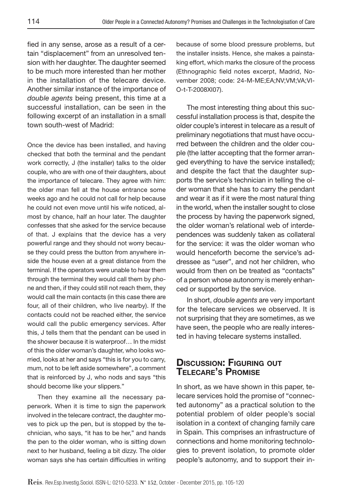fied in any sense, arose as a result of a certain "displacement" from an unresolved tension with her daughter. The daughter seemed to be much more interested than her mother in the installation of the telecare device. Another similar instance of the importance of *double agents* being present, this time at a successful installation, can be seen in the following excerpt of an installation in a small town south-west of Madrid:

Once the device has been installed, and having checked that both the terminal and the pendant work correctly, J (the installer) talks to the older couple, who are with one of their daughters, about the importance of telecare. They agree with him: the older man fell at the house entrance some weeks ago and he could not call for help because he could not even move until his wife noticed, almost by chance, half an hour later. The daughter confesses that she asked for the service because of that. J explains that the device has a very powerful range and they should not worry because they could press the button from anywhere inside the house even at a great distance from the terminal. If the operators were unable to hear them through the terminal they would call them by phone and then, if they could still not reach them, they would call the main contacts (in this case there are four, all of their children, who live nearby). If the contacts could not be reached either, the service would call the public emergency services. After this, J tells them that the pendant can be used in the shower because it is waterproof… In the midst of this the older woman's daughter, who looks worried, looks at her and says "this is for you to carry, mum, not to be left aside somewhere", a comment that is reinforced by J, who nods and says "this should become like your slippers."

Then they examine all the necessary paperwork. When it is time to sign the paperwork involved in the telecare contract, the daughter moves to pick up the pen, but is stopped by the technician, who says, "it has to be her," and hands the pen to the older woman, who is sitting down next to her husband, feeling a bit dizzy. The older woman says she has certain difficulties in writing because of some blood pressure problems, but the installer insists. Hence, she makes a painstaking effort, which marks the closure of the process (Ethnographic field notes excerpt, Madrid, November 2008; code: 24-M-ME;EA;NV;VM;VA;VI-O-t-T-2008XI07).

The most interesting thing about this successful installation process is that, despite the older couple's interest in telecare as a result of preliminary negotiations that must have occurred between the children and the older couple (the latter accepting that the former arranged everything to have the service installed); and despite the fact that the daughter supports the service's technician in telling the older woman that she has to carry the pendant and wear it as if it were the most natural thing in the world, when the installer sought to close the process by having the paperwork signed, the older woman's relational web of interdependences was suddenly taken as collateral for the service: it was the older woman who would henceforth become the service's addressee as "user", and not her children, who would from then on be treated as "contacts" of a person whose autonomy is merely enhanced or supported by the service.

In short, *double agents* are very important for the telecare services we observed. It is not surprising that they are sometimes, as we have seen, the people who are really interested in having telecare systems installed.

## Discussion: Figuring out Telecare's Promise

In short, as we have shown in this paper, telecare services hold the promise of "connected autonomy" as a practical solution to the potential problem of older people's social isolation in a context of changing family care in Spain. This comprises an infrastructure of connections and home monitoring technologies to prevent isolation, to promote older people's autonomy, and to support their in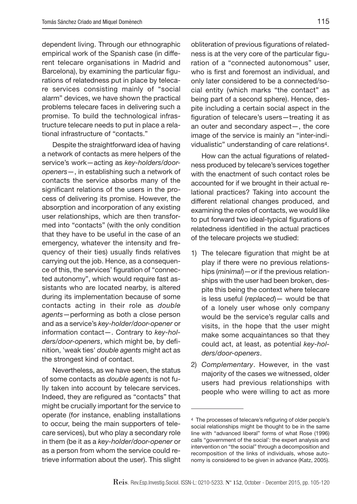dependent living. Through our ethnographic empirical work of the Spanish case (in different telecare organisations in Madrid and Barcelona), by examining the particular figurations of relatedness put in place by telecare services consisting mainly of "social alarm" devices, we have shown the practical problems telecare faces in delivering such a promise. To build the technological infrastructure telecare needs to put in place a relational infrastructure of "contacts."

Despite the straightforward idea of having a network of contacts as mere helpers of the service's work—acting as *key-holders/dooropeners*—, in establishing such a network of contacts the service absorbs many of the significant relations of the users in the process of delivering its promise. However, the absorption and incorporation of any existing user relationships, which are then transformed into "contacts" (with the only condition that they have to be useful in the case of an emergency, whatever the intensity and frequency of their ties) usually finds relatives carrying out the job. Hence, as a consequence of this, the services' figuration of "connected autonomy", which would require fast assistants who are located nearby, is altered during its implementation because of some contacts acting in their role as *double agents*—performing as both a close person and as a service's *key-holder/door-opener* or information contact—. Contrary to *key-holders/door-openers*, which might be, by definition, 'weak ties' *double agents* might act as the strongest kind of contact.

Nevertheless, as we have seen, the status of some contacts as *double agents* is not fully taken into account by telecare services. Indeed, they are refigured as "contacts" that might be crucially important for the service to operate (for instance, enabling installations to occur, being the main supporters of telecare services), but who play a secondary role in them (be it as a *key-holder/door-opener* or as a person from whom the service could retrieve information about the user). This slight

obliteration of previous figurations of relatedness is at the very core of the particular figuration of a "connected autonomous" user, who is first and foremost an individual, and only later considered to be a connected/social entity (which marks "the contact" as being part of a second sphere). Hence, despite including a certain social aspect in the figuration of telecare's users—treating it as an outer and secondary aspect—, the core image of the service is mainly an "inter-individualistic" understanding of care relations4.

How can the actual figurations of relatedness produced by telecare's services together with the enactment of such contact roles be accounted for if we brought in their actual relational practices? Taking into account the different relational changes produced, and examining the roles of contacts, we would like to put forward two ideal-typical figurations of relatedness identified in the actual practices of the telecare projects we studied:

- 1) The telecare figuration that might be at play if there were no previous relationships (*minimal*)—or if the previous relationships with the user had been broken, despite this being the context where telecare is less useful (*replaced*)— would be that of a lonely user whose only company would be the service's regular calls and visits, in the hope that the user might make some acquaintances so that they could act, at least, as potential *key-holders/door-openers*.
- 2) *Complementary*. However, in the vast majority of the cases we witnessed, older users had previous relationships with people who were willing to act as more

<sup>4</sup> The processes of telecare's refiguring of older people's social relationships might be thought to be in the same line with "advanced liberal" forms of what Rose (1996) calls "government of the social': the expert analysis and intervention on "the social" through a decomposition and recomposition of the links of individuals, whose autonomy is considered to be given in advance (Katz, 2005).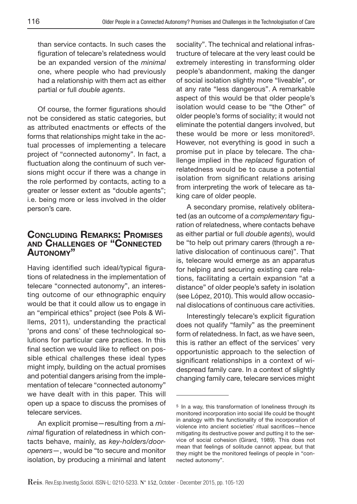than service contacts. In such cases the figuration of telecare's relatedness would be an expanded version of the *minimal* one, where people who had previously had a relationship with them act as either partial or full *double agents*.

Of course, the former figurations should not be considered as static categories, but as attributed enactments or effects of the forms that relationships might take in the actual processes of implementing a telecare project of "connected autonomy". In fact, a fluctuation along the continuum of such versions might occur if there was a change in the role performed by contacts, acting to a greater or lesser extent as "double agents"; i.e. being more or less involved in the older person's care.

## Concluding Remarks: Promises and Challenges of "Connected Autonomy"

Having identified such ideal/typical figurations of relatedness in the implementation of telecare "connected autonomy", an interesting outcome of our ethnographic enquiry would be that it could allow us to engage in an "empirical ethics" project (see Pols & Willems, 2011), understanding the practical 'prons and cons' of these technological solutions for particular care practices. In this final section we would like to reflect on possible ethical challenges these ideal types might imply, building on the actual promises and potential dangers arising from the implementation of telecare "connected autonomy" we have dealt with in this paper. This will open up a space to discuss the promises of telecare services.

An explicit promise—resulting from a *minimal* figuration of relatedness in which contacts behave, mainly, as *key-holders/dooropeners*—, would be "to secure and monitor isolation, by producing a minimal and latent sociality". The technical and relational infrastructure of telecare at the very least could be extremely interesting in transforming older people's abandonment, making the danger of social isolation slightly more "liveable", or at any rate "less dangerous". A remarkable aspect of this would be that older people's isolation would cease to be "the Other" of older people's forms of sociality; it would not eliminate the potential dangers involved, but these would be more or less monitored5. However, not everything is good in such a promise put in place by telecare. The challenge implied in the *replaced* figuration of relatedness would be to cause a potential isolation from significant relations arising from interpreting the work of telecare as taking care of older people.

A secondary promise, relatively obliterated (as an outcome of a *complementary* figuration of relatedness, where contacts behave as either partial or full *double agents*), would be "to help out primary carers (through a relative dislocation of continuous care)". That is, telecare would emerge as an apparatus for helping and securing existing care relations, facilitating a certain expansion "at a distance" of older people's safety in isolation (see López, 2010). This would allow occasional dislocations of continuous care activities.

Interestingly telecare's explicit figuration does not qualify "family" as the preeminent form of relatedness. In fact, as we have seen, this is rather an effect of the services' very opportunistic approach to the selection of significant relationships in a context of widespread family care. In a context of slightly changing family care, telecare services might

<sup>5</sup> In a way, this transformation of loneliness through its monitored incorporation into social life could be thought in analogy with the functionality of the incorporation of violence into ancient societies' ritual sacrifices—hence mitigating its destructive power and putting it to the service of social cohesion (Girard, 1989). This does not mean that feelings of solitude cannot appear, but that they might be the monitored feelings of people in "connected autonomy".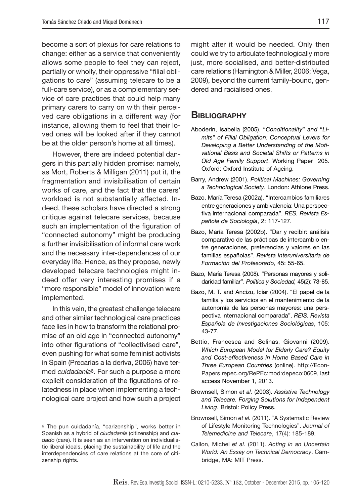become a sort of plexus for care relations to change: either as a service that conveniently allows some people to feel they can reject, partially or wholly, their oppressive "filial obligations to care" (assuming telecare to be a full-care service), or as a complementary service of care practices that could help many primary carers to carry on with their perceived care obligations in a different way (for instance, allowing them to feel that their loved ones will be looked after if they cannot be at the older person's home at all times).

However, there are indeed potential dangers in this partially hidden promise: namely, as Mort, Roberts & Milligan (2011) put it, the fragmentation and invisibilisation of certain works of care, and the fact that the carers' workload is not substantially affected. Indeed, these scholars have directed a strong critique against telecare services, because such an implementation of the figuration of "connected autonomy" might be producing a further invisibilisation of informal care work and the necessary inter-dependences of our everyday life. Hence, as they propose, newly developed telecare technologies might indeed offer very interesting promises if a "more responsible" model of innovation were implemented.

In this vein, the greatest challenge telecare and other similar technological care practices face lies in how to transform the relational promise of an old age in "connected autonomy" into other figurations of "collectivised care", even pushing for what some feminist activists in Spain (Precarias a la deriva, 2006) have termed *cuidadanía*6. For such a purpose a more explicit consideration of the figurations of relatedness in place when implementing a technological care project and how such a project

might alter it would be needed. Only then could we try to articulate technologically more just, more socialised, and better-distributed care relations (Hamington & Miller, 2006; Vega, 2009), beyond the current family-bound, gendered and racialised ones.

#### **BIBLIOGRAPHY**

- Aboderin, Isabella (2005). "*Conditionality*" *and* "*Limits*" *of Filial Obligation: Conceptual Levers for Developing a Better Understanding of the Motivational Basis and Societal Shifts or Patterns in Old Age Family Support*. Working Paper 205. Oxford: Oxford Institute of Ageing.
- Barry, Andrew (2001). *Political Machines: Governing a Technological Society*. London: Athlone Press.
- Bazo, María Teresa (2002a). "Intercambios familiares entre generaciones y ambivalencia: Una perspectiva internacional comparada". *RES. Revista Española de Sociología*, 2: 117-127.
- Bazo, María Teresa (2002b). "Dar y recibir: análisis comparativo de las prácticas de intercambio entre generaciones, preferencias y valores en las familias españolas". *Revista Interuniversitaria de Formación del Profesorado*, 45: 55-65.
- Bazo, María Teresa (2008). "Personas mayores y solidaridad familiar". *Política y Sociedad,* 45(2): 73-85.
- Bazo, M. T. and Ancizu, Icíar (2004). "El papel de la familia y los servicios en el mantenimiento de la autonomía de las personas mayores: una perspectiva internacional comparada". *REIS. Revista Española de Investigaciones Sociológicas*, 105: 43-77.
- Bettio, Francesca and Solinas, Giovanni (2009). *Which European Model for Elderly Care? Equity and Cost-effectiveness in Home Based Care in Three European Countries* (online). http://Econ-Papers.repec.org/RePEc:mod:depeco:0609, last access November 1, 2013.
- Brownsell, Simon *et al.* (2003). *Assistive Technology and Telecare. Forging Solutions for Independent Living*. Bristol: Policy Press.
- Brownsell, Simon *et al.* (2011). "A Systematic Review of Lifestyle Monitoring Technologies". *Journal of Telemedicine and Telecare*, 17(4): 185-189.
- Callon, Michel *et al.* (2011). *Acting in an Uncertain World: An Essay on Technical Democracy*. Cambridge, MA: MIT Press.

<sup>6</sup> The pun cuidadanía, "carizenship", works better in Spanish as a hybrid of *ciudadanía* (citizenship) and *cuidado* (care). It is seen as an intervention on individualistic liberal ideals, placing the sustainability of life and the interdependencies of care relations at the core of citizenship rights.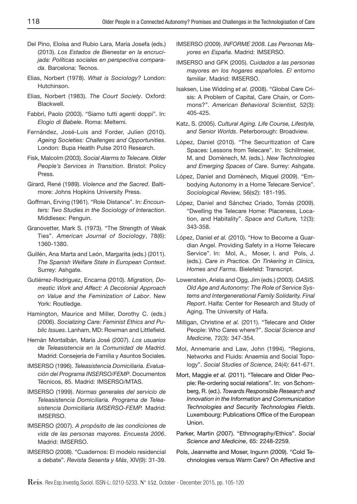- Del Pino, Eloísa and Rubio Lara, María Josefa (eds.) (2013). *Los Estados de Bienestar en la encrucijada: Políticas sociales en perspectiva comparada*. Barcelona: Tecnos.
- Elias, Norbert (1978). *What is Sociology?* London: Hutchinson.
- Elias, Norbert (1983). *The Court Society*. Oxford: Blackwell.
- Fabbri, Paolo (2003). "Siamo tutti agenti doppi". In: *Elogio di Babele*. Roma: Meltemi.
- Fernández, José-Luis and Forder, Julien (2010). *Ageing Societies: Challenges and Opportunities*. London: Bupa Heatlh Pulse 2010 Research.
- Fisk, Malcolm (2003). *Social Alarms to Telecare. Older People's Services in Transition*. Bristol: Policy Press.
- Girard, René (1989). *Violence and the Sacred*. Baltimore: Johns Hopkins University Press.
- Goffman, Erving (1961). "Role Distance". In: *Encounters: Two Studies in the Sociology of Interaction*. Middlesex: Penguin.
- Granovetter, Mark S. (1973). "The Strength of Weak Ties". *American Journal of Sociology*, 78(6): 1360-1380.
- Guillén, Ana Marta and León, Margarita (eds.) (2011). *The Spanish Welfare State in European Context*. Surrey: Ashgate.
- Gutiérrez-Rodríguez, Encarna (2010). *Migration, Domestic Work and Affect: A Decolonial Approach on Value and the Feminization of Labor*. New York: Routledge.
- Hamington, Maurice and Miller, Dorothy C. (eds.) (2006). *Socializing Care: Feminist Ethics and Public Issues*. Lanham, MD: Rowman and Littlefield.
- Hernán Montalbán, María José (2007). *Los usuarios de Teleasistencia en la Comunidad de Madrid*. Madrid: Consejería de Familia y Asuntos Sociales.
- IMSERSO (1996). *Teleasistencia Domiciliaria. Evaluación del Programa INSERSO/FEMP*. Documentos Técnicos, 85. Madrid: IMSERSO/MTAS.
- IMSERSO (1999). *Normas generales del servicio de Teleasistencia Domiciliaria. Programa de Teleasistencia Domiciliaria IMSERSO-FEMP.* Madrid: IMSERSO.
- IMSERSO (2007). *A propósito de las condiciones de vida de las personas mayores. Encuesta 2006*. Madrid: IMSERSO.
- IMSERSO (2008). "Cuadernos: El modelo residencial a debate". *Revista Sesenta y Más*, XIV(9): 31-39.
- IMSERSO (2009). *INFORME 2008. Las Personas Mayores en España*. Madrid: IMSERSO.
- IMSERSO and GFK (2005). *Cuidados a las personas mayores en los hogares españoles. El entorno familiar*. Madrid: IMSERSO.
- Isaksen, Lise Widding *et al.* (2008). "Global Care Crisis: A Problem of Capital, Care Chain, or Commons?". *American Behavioral Scientist,* 52(3): 405-425.
- Katz, S. (2005). *Cultural Aging. Life Course, Lifestyle, and Senior Worlds*. Peterborough: Broadview.
- López, Daniel (2010). "The Securitization of Care Spaces: Lessons from Telecare". In: Schillmeier, M. and Domènech, M. (eds.). *New Technologies and Emerging Spaces of Care*. Surrey: Ashgate.
- López, Daniel and Domènech, Miquel (2009). "Embodying Autonomy in a Home Telecare Service". *Sociological Review,* 56(s2): 181-195.
- López, Daniel and Sánchez Criado, Tomás (2009). "Dwelling the Telecare Home: Placeness, Location, and Habitality". *Space and Culture,* 12(3): 343-358.
- López, Daniel *et al.* (2010). "How to Become a Guardian Angel. Providing Safety in a Home Telecare Service". In: Mol, A., Moser, I. and Pols, J. (eds.). *Care in Practice. On Tinkering in Clinics, Homes and Farms*. Bielefeld: Transcript.
- Lowenstein, Ariela and Ogg, Jim (eds.) (2003). *OASIS. Old Age and Autonomy: The Role of Service Systems and Intergenerational Family Solidarity. Final Report*. Haifa: Center for Research and Study of Aging. The University of Haifa.
- Milligan, Christine *et al.* (2011). "Telecare and Older People: Who Cares where?". *Social Science and Medicine,* 72(3): 347-354.
- Mol, Annemarie and Law, John (1994). "Regions, Networks and Fluids: Anaemia and Social Topology". *Social Studies of Science,* 24(4): 641-671.
- Mort, Maggie *et al.* (2011). "Telecare and Older People: Re-ordering social relations". In: von Schomberg, R. (ed.). *Towards Responsible Research and Innovation in the Information and Communication Technologies and Security Technologies Fields*. Luxembourg: Publications Office of the European Union.
- Parker, Martin (2007). "Ethnography/Ethics". *Social Science and Medicine*, 65: 2248-2259.
- Pols, Jeannette and Moser, Ingunn (2009). "Cold Technologies versus Warm Care? On Affective and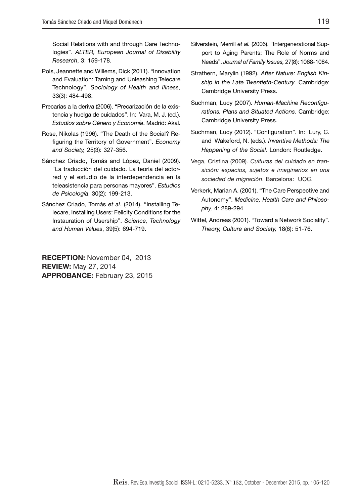Social Relations with and through Care Technologies". *ALTER, European Journal of Disability Research*, 3: 159-178.

- Pols, Jeannette and Willems, Dick (2011). "Innovation and Evaluation: Taming and Unleashing Telecare Technology". *Sociology of Health and Illness,*  33(3): 484-498.
- Precarias a la deriva (2006). "Precarización de la existencia y huelga de cuidados". In: Vara, M. J. (ed.). *Estudios sobre Género y Economía*. Madrid: Akal.
- Rose, Nikolas (1996). "The Death of the Social? Refiguring the Territory of Government". *Economy and Society,* 25(3): 327-356.
- Sánchez Criado, Tomás and López, Daniel (2009). "La traducción del cuidado. La teoría del actorred y el estudio de la interdependencia en la teleasistencia para personas mayores". *Estudios de Psicología*, 30(2): 199-213.
- Sánchez Criado, Tomás *et al.* (2014). "Installing Telecare, Installing Users: Felicity Conditions for the Instauration of Usership". *Science, Technology and Human Values*, 39(5): 694-719.

RECEPTION: November 04, 2013 REVIEW: May 27, 2014 APPROBANCE: February 23, 2015

- Silverstein, Merrill *et al.* (2006). "Intergenerational Support to Aging Parents: The Role of Norms and Needs". *Journal of Family Issues,* 27(8): 1068-1084.
- Strathern, Marylin (1992). *After Nature: English Kinship in the Late Twentieth-Century*. Cambridge: Cambridge University Press.
- Suchman, Lucy (2007). *Human-Machine Reconfigurations. Plans and Situated Actions*. Cambridge: Cambridge University Press.
- Suchman, Lucy (2012). "Configuration". In: Lury, C. and Wakeford, N. (eds.). *Inventive Methods: The Happening of the Social*. London: Routledge.
- Vega, Cristina (2009). *Culturas del cuidado en transición: espacios, sujetos e imaginarios en una sociedad de migración*. Barcelona: UOC.
- Verkerk, Marian A. (2001). "The Care Perspective and Autonomy". *Medicine, Health Care and Philosophy,* 4: 289-294.
- Wittel, Andreas (2001). "Toward a Network Sociality". *Theory, Culture and Society,* 18(6): 51-76.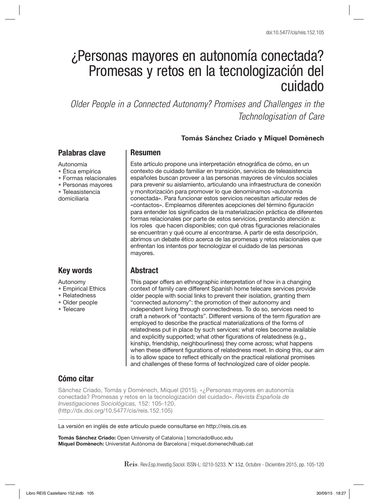# ¿Personas mayores en autonomía conectada? Promesas y retos en la tecnologización del cuidado

*Older People in a Connected Autonomy? Promises and Challenges in the Technologisation of Care*

#### **Tomás Sánchez Criado y Miquel Domènech**

## Palabras clave

#### Autonomía

- Ética empírica
- Formas relacionales
- Personas mayores
- Teleasistencia domiciliaria

# Key words

Autonomy

- Empirical Ethics
- Relatedness
- Older people
- Telecare

## Resumen

Este artículo propone una interpretación etnográfica de cómo, en un contexto de cuidado familiar en transición, servicios de teleasistencia españoles buscan proveer a las personas mayores de vínculos sociales para prevenir su aislamiento, articulando una infraestructura de conexión y monitorización para promover lo que denominamos «autonomía conectada». Para funcionar estos servicios necesitan articular redes de «contactos». Empleamos diferentes acepciones del término *figuración* para entender los significados de la materialización práctica de diferentes formas relacionales por parte de estos servicios, prestando atención a: los roles que hacen disponibles; con qué otras figuraciones relacionales se encuentran y qué ocurre al encontrarse. A partir de esta descripción, abrimos un debate ético acerca de las promesas y retos relacionales que enfrentan los intentos por tecnologizar el cuidado de las personas mayores.

## **Abstract**

This paper offers an ethnographic interpretation of how in a changing context of family care different Spanish home telecare services provide older people with social links to prevent their isolation, granting them "connected autonomy": the promotion of their autonomy and independent living through connectedness. To do so, services need to craft a network of "contacts". Different versions of the term *figuration* are employed to describe the practical materializations of the forms of relatedness put in place by such services: what roles become available and explicitly supported; what other figurations of relatedness (e.g., kinship, friendship, neighbourliness) they come across; what happens when these different figurations of relatedness meet. In doing this, our aim is to allow space to reflect ethically on the practical relational promises and challenges of these forms of technologized care of older people.

# Cómo citar

Sánchez Criado, Tomás y Domènech, Miquel (2015). «¿Personas mayores en autonomía conectada? Promesas y retos en la tecnologización del cuidado». *Revista Española de Investigaciones Sociológicas,* 152: 105-120. (http://dx.doi.org/10.5477/cis/reis.152.105)

La versión en inglés de este artículo puede consultarse en http://reis.cis.es

Tomás Sánchez Criado: Open University of Catalonia | tomcriado@uoc.edu Miquel Domènech: Universitat Autònoma de Barcelona | miquel.domenech@uab.cat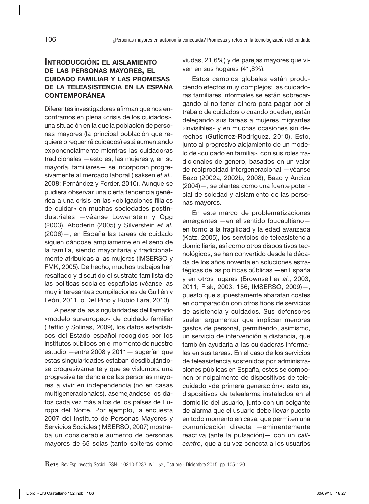#### Introducción: el aislamiento de las personas mayores, el cuidado familiar y las promesas de la teleasistencia en la españa contemporánea

Diferentes investigadores afirman que nos encontramos en plena «crisis de los cuidados», una situación en la que la población de personas mayores (la principal población que requiere o requerirá cuidados) está aumentando exponencialmente mientras las cuidadoras tradicionales —esto es, las mujeres y, en su mayoría, familiares— se incorporan progresivamente al mercado laboral (Isaksen *et al.*, 2008; Fernández y Forder, 2010). Aunque se pudiera observar una cierta tendencia genérica a una crisis en las «obligaciones filiales de cuidar» en muchas sociedades postindustriales —véanse Lowenstein y Ogg (2003), Aboderin (2005) y Silverstein *et al.*  (2006)—, en España las tareas de cuidado siguen dándose ampliamente en el seno de la familia, siendo mayoritaria y tradicionalmente atribuidas a las mujeres (IMSERSO y FMK, 2005). De hecho, muchos trabajos han resaltado y discutido el sustrato familista de las políticas sociales españolas (véanse las muy interesantes compilaciones de Guillén y León, 2011, o Del Pino y Rubio Lara, 2013).

A pesar de las singularidades del llamado «modelo sureuropeo» de cuidado familiar (Bettio y Solinas, 2009), los datos estadísticos del Estado español recogidos por los institutos públicos en el momento de nuestro estudio —entre 2008 y 2011— sugerían que estas singularidades estaban desdibujándose progresivamente y que se vislumbra una progresiva tendencia de las personas mayores a vivir en independencia (no en casas multigeneracionales), asemejándose los datos cada vez más a los de los países de Europa del Norte. Por ejemplo, la encuesta 2007 del Instituto de Personas Mayores y Servicios Sociales (IMSERSO, 2007) mostraba un considerable aumento de personas mayores de 65 solas (tanto solteras como

viudas, 21,6%) y de parejas mayores que viven en sus hogares (41,8%).

Estos cambios globales están produciendo efectos muy complejos: las cuidadoras familiares informales se están sobrecargando al no tener dinero para pagar por el trabajo de cuidados o cuando pueden, están delegando sus tareas a mujeres migrantes «invisibles» y en muchas ocasiones sin derechos (Gutiérrez-Rodríguez, 2010). Esto, junto al progresivo alejamiento de un modelo de «cuidado en familia», con sus roles tradicionales de género, basados en un valor de reciprocidad intergeneracional —véanse Bazo (2002a, 2002b, 2008), Bazo y Ancizu (2004)—, se plantea como una fuente potencial de soledad y aislamiento de las personas mayores.

En este marco de problematizaciones emergentes —en el sentido foucaultiano en torno a la fragilidad y la edad avanzada (Katz, 2005), los servicios de teleasistencia domiciliaria, así como otros dispositivos tecnológicos, se han convertido desde la década de los años noventa en soluciones estratégicas de las políticas públicas —en España y en otros lugares (Brownsell *et al.*, 2003, 2011; Fisk, 2003: 156; IMSERSO, 2009)—, puesto que supuestamente abaratan costes en comparación con otros tipos de servicios de asistencia y cuidados. Sus defensores suelen argumentar que implican menores gastos de personal, permitiendo, asimismo, un servicio de intervención a distancia, que también ayudaría a las cuidadoras informales en sus tareas. En el caso de los servicios de teleasistencia sostenidos por administraciones públicas en España, estos se componen principalmente de dispositivos de telecuidado «de primera generación»: esto es, dispositivos de telealarma instalados en el domicilio del usuario, junto con un colgante de alarma que el usuario debe llevar puesto en todo momento en casa, que permiten una comunicación directa —eminentemente reactiva (ante la pulsación)— con un *callcentre*, que a su vez conecta a los usuarios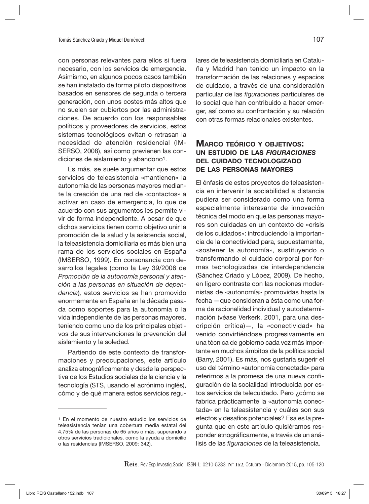con personas relevantes para ellos si fuera necesario, con los servicios de emergencia. Asimismo, en algunos pocos casos también se han instalado de forma piloto dispositivos basados en sensores de segunda o tercera generación, con unos costes más altos que no suelen ser cubiertos por las administraciones. De acuerdo con los responsables políticos y proveedores de servicios, estos sistemas tecnológicos evitan o retrasan la necesidad de atención residencial (IM-SERSO, 2008), así como previenen las condiciones de aislamiento y abandono1.

Es más, se suele argumentar que estos servicios de teleasistencia «mantienen» la autonomía de las personas mayores mediante la creación de una red de «contactos» a activar en caso de emergencia, lo que de acuerdo con sus argumentos les permite vivir de forma independiente. A pesar de que dichos servicios tienen como objetivo unir la promoción de la salud y la asistencia social, la teleasistencia domiciliaria es más bien una rama de los servicios sociales en España (IMSERSO, 1999). En consonancia con desarrollos legales (como la Ley 39/2006 de *Promoción de la autonomía personal y atención a las personas en situación de dependencia*)*,* estos servicios se han promovido enormemente en España en la década pasada como soportes para la autonomía o la vida independiente de las personas mayores, teniendo como uno de los principales objetivos de sus intervenciones la prevención del aislamiento y la soledad.

Partiendo de este contexto de transformaciones y preocupaciones, este artículo analiza etnográficamente y desde la perspectiva de los Estudios sociales de la ciencia y la tecnología (STS, usando el acrónimo inglés), cómo y de qué manera estos servicios regulares de teleasistencia domiciliaria en Cataluña y Madrid han tenido un impacto en la transformación de las relaciones y espacios de cuidado, a través de una consideración particular de las *figuraciones* particulares de lo social que han contribuido a hacer emerger, así como su confrontación y su relación con otras formas relacionales existentes.

#### MARCO TEÓRICO Y OBJETIVOS: un estudio de las *figuraciones* del cuidado tecnologizado de las personas mayores

El énfasis de estos proyectos de teleasistencia en intervenir la sociabilidad a distancia pudiera ser considerado como una forma especialmente interesante de innovación técnica del modo en que las personas mayores son cuidadas en un contexto de «crisis de los cuidados»: introduciendo la importancia de la conectividad para, supuestamente, «sostener la autonomía», sustituyendo o transformando el cuidado corporal por formas tecnologizadas de interdependencia (Sánchez Criado y López, 2009). De hecho, en ligero contraste con las nociones modernistas de «autonomía» promovidas hasta la fecha —que consideran a ésta como una forma de racionalidad individual y autodeterminación (véase Verkerk, 2001, para una descripción crítica)—, la «conectividad» ha venido convirtiéndose progresivamente en una técnica de gobierno cada vez más importante en muchos ámbitos de la política social (Barry, 2001). Es más, nos gustaría sugerir el uso del término «autonomía conectada» para referirnos a la promesa de una nueva configuración de la socialidad introducida por estos servicios de telecuidado. Pero ¿cómo se fabrica prácticamente la «autonomía conectada» en la teleasistencia y cuáles son sus efectos y desafíos potenciales? Esa es la pregunta que en este artículo quisiéramos responder etnográficamente, a través de un análisis de las *figuraciones* de la teleasistencia.

<sup>1</sup> En el momento de nuestro estudio los servicios de teleasistencia tenían una cobertura media estatal del 4,75% de las personas de 65 años o más, superando a otros servicios tradicionales, como la ayuda a domicilio o las residencias (IMSERSO, 2009: 342).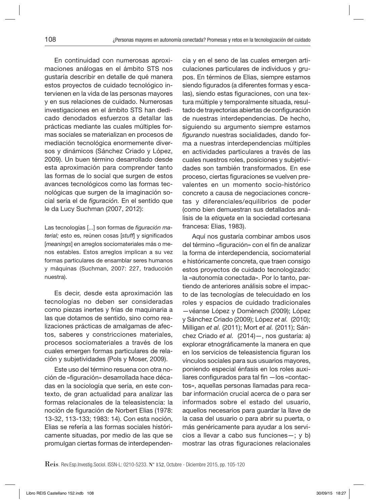En continuidad con numerosas aproximaciones análogas en el ámbito STS nos gustaría describir en detalle de qué manera estos proyectos de cuidado tecnológico intervienen en la vida de las personas mayores y en sus relaciones de cuidado. Numerosas investigaciones en el ámbito STS han dedicado denodados esfuerzos a detallar las prácticas mediante las cuales múltiples formas sociales se materializan en procesos de mediación tecnológica enormemente diversos y dinámicos (Sánchez Criado y López, 2009). Un buen término desarrollado desde esta aproximación para comprender tanto las formas de lo social que surgen de estos avances tecnológicos como las formas tecnológicas que surgen de la imaginación social sería el de *figuración.* En el sentido que le da Lucy Suchman (2007, 2012):

Las tecnologías [...] son formas de *figuración material;* esto es, reúnen cosas [*stuff*] y significados [*meanings*] en arreglos sociomateriales más o menos estables. Estos arreglos implican a su vez formas particulares de ensamblar seres humanos y máquinas (Suchman, 2007: 227, traducción nuestra).

Es decir, desde esta aproximación las tecnologías no deben ser consideradas como piezas inertes y frías de maquinaria a las que dotamos de sentido, sino como realizaciones prácticas de amalgamas de afectos, saberes y constricciones materiales, procesos sociomateriales a través de los cuales emergen formas particulares de relación y subjetividades (Pols y Moser, 2009).

Este uso del término resuena con otra noción de «figuración» desarrollada hace décadas en la sociología que sería, en este contexto, de gran actualidad para analizar las formas relacionales de la teleasistencia: la noción de figuración de Norbert Elias (1978: 13-32, 113-133; 1983: 14). Con esta noción, Elias se refería a las formas sociales históricamente situadas, por medio de las que se promulgan ciertas formas de interdependencia y en el seno de las cuales emergen articulaciones particulares de individuos y grupos. En términos de Elias, siempre estamos siendo figurados (a diferentes formas y escalas), siendo estas figuraciones, con una textura múltiple y temporalmente situada, resultado de trayectorias abiertas de configuración de nuestras interdependencias. De hecho, siguiendo su argumento siempre estamos *figurando* nuestras socialidades, dando forma a nuestras interdependencias múltiples en actividades particulares a través de las cuales nuestros roles, posiciones y subjetividades son también transformados. En ese proceso, ciertas figuraciones se vuelven prevalentes en un momento socio-histórico concreto a causa de negociaciones concretas y diferenciales/equilibrios de poder (como bien demuestran sus detallados análisis de la *etiqueta* en la sociedad cortesana francesa: Elias, 1983).

Aquí nos gustaría combinar ambos usos del término «figuración» con el fin de analizar la forma de interdependencia, sociomaterial e históricamente concreta, que traen consigo estos proyectos de cuidado tecnologizado: la «autonomía conectada». Por lo tanto, partiendo de anteriores análisis sobre el impacto de las tecnologías de telecuidado en los roles y espacios de cuidado tradicionales —véanse López y Domènech (2009); López y Sánchez Criado (2009); López *et al.* (2010); Milligan *et al.* (2011); Mort *et al.* (2011); Sánchez Criado *et al.* (2014)—, nos gustaría: a) explorar etnográficamente la manera en que en los servicios de teleasistencia figuran los vínculos sociales para sus usuarios mayores, poniendo especial énfasis en los roles auxiliares configurados para tal fin —los «contactos», aquellas personas llamadas para recabar información crucial acerca de o para ser informados sobre el estado del usuario, aquellos necesarios para guardar la llave de la casa del usuario o para abrir su puerta, o más genéricamente para ayudar a los servicios a llevar a cabo sus funciones—; y b) mostrar las otras figuraciones relacionales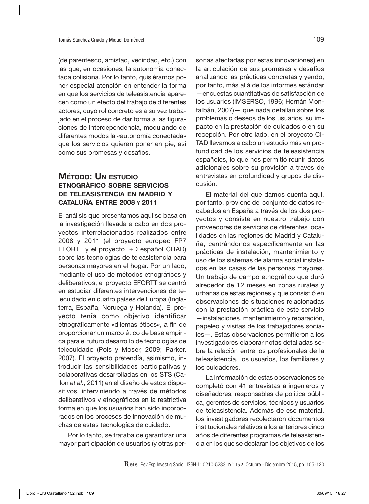(de parentesco, amistad, vecindad, etc.) con las que, en ocasiones, la autonomía conectada colisiona. Por lo tanto, quisiéramos poner especial atención en entender la forma en que los servicios de teleasistencia aparecen como un efecto del trabajo de diferentes actores, cuyo rol concreto es a su vez trabajado en el proceso de dar forma a las figuraciones de interdependencia, modulando de diferentes modos la «autonomía conectada» que los servicios quieren poner en pie, así como sus promesas y desafíos.

### Método: Un estudio etnográfico sobre servicios de teleasistencia en madrid y cataluña entre 2008 y 2011

El análisis que presentamos aquí se basa en la investigación llevada a cabo en dos proyectos interrelacionados realizados entre 2008 y 2011 (el proyecto europeo FP7 EFORTT y el proyecto I+D español CITAD) sobre las tecnologías de teleasistencia para personas mayores en el hogar. Por un lado, mediante el uso de métodos etnográficos y deliberativos, el proyecto EFORTT se centró en estudiar diferentes intervenciones de telecuidado en cuatro países de Europa (Inglaterra, España, Noruega y Holanda). El proyecto tenía como objetivo identificar etnográficamente «dilemas éticos», a fin de proporcionar un marco ético de base empírica para el futuro desarrollo de tecnologías de telecuidado (Pols y Moser, 2009; Parker, 2007). El proyecto pretendía, asimismo, introducir las sensibilidades participativas y colaborativas desarrolladas en los STS (Callon *et al.*, 2011) en el diseño de estos dispositivos, interviniendo a través de métodos deliberativos y etnográficos en la restrictiva forma en que los usuarios han sido incorporados en los procesos de innovación de muchas de estas tecnologías de cuidado.

Por lo tanto, se trataba de garantizar una mayor participación de usuarios (y otras personas afectadas por estas innovaciones) en la articulación de sus promesas y desafíos analizando las prácticas concretas y yendo, por tanto, más allá de los informes estándar —encuestas cuantitativas de satisfacción de los usuarios (IMSERSO, 1996; Hernán Montalbán, 2007)— que nada detallan sobre los problemas o deseos de los usuarios, su impacto en la prestación de cuidados o en su recepción. Por otro lado, en el proyecto CI-TAD llevamos a cabo un estudio más en profundidad de los servicios de teleasistencia españoles, lo que nos permitió reunir datos adicionales sobre su provisión a través de entrevistas en profundidad y grupos de discusión.

El material del que damos cuenta aquí, por tanto, proviene del conjunto de datos recabados en España a través de los dos proyectos y consiste en nuestro trabajo con proveedores de servicios de diferentes localidades en las regiones de Madrid y Cataluña, centrándonos específicamente en las prácticas de instalación, mantenimiento y uso de los sistemas de alarma social instalados en las casas de las personas mayores. Un trabajo de campo etnográfico que duró alrededor de 12 meses en zonas rurales y urbanas de estas regiones y que consistió en observaciones de situaciones relacionadas con la prestación práctica de este servicio —instalaciones, mantenimiento y reparación, papeleo y visitas de los trabajadores sociales—. Estas observaciones permitieron a los investigadores elaborar notas detalladas sobre la relación entre los profesionales de la teleasistencia, los usuarios, los familiares y los cuidadores.

La información de estas observaciones se completó con 41 entrevistas a ingenieros y diseñadores, responsables de política pública, gerentes de servicios, técnicos y usuarios de teleasistencia. Además de ese material, los investigadores recolectaron documentos institucionales relativos a los anteriores cinco años de diferentes programas de teleasistencia en los que se declaran los objetivos de los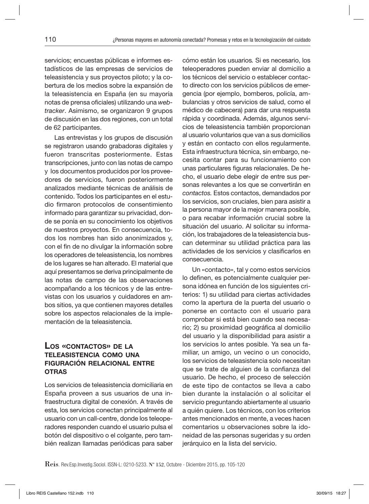servicios; encuestas públicas e informes estadísticos de las empresas de servicios de teleasistencia y sus proyectos piloto; y la cobertura de los medios sobre la expansión de la teleasistencia en España (en su mayoría notas de prensa oficiales) utilizando una *webtracker*. Asimismo, se organizaron 9 grupos de discusión en las dos regiones, con un total de 62 participantes.

Las entrevistas y los grupos de discusión se registraron usando grabadoras digitales y fueron transcritas posteriormente. Estas transcripciones, junto con las notas de campo y los documentos producidos por los proveedores de servicios, fueron posteriormente analizados mediante técnicas de análisis de contenido. Todos los participantes en el estudio firmaron protocolos de consentimiento informado para garantizar su privacidad, donde se ponía en su conocimiento los objetivos de nuestros proyectos. En consecuencia, todos los nombres han sido anonimizados y, con el fin de no divulgar la información sobre los operadores de teleasistencia, los nombres de los lugares se han alterado. El material que aquí presentamos se deriva principalmente de las notas de campo de las observaciones acompañando a los técnicos y de las entrevistas con los usuarios y cuidadores en ambos sitios, ya que contienen mayores detalles sobre los aspectos relacionales de la implementación de la teleasistencia.

#### Los «contactos» de la teleasistencia como una figuración relacional entre **OTRAS**

Los servicios de teleasistencia domiciliaria en España proveen a sus usuarios de una infraestructura digital de conexión. A través de esta, los servicios conectan principalmente al usuario con un call-centre, donde los teleoperadores responden cuando el usuario pulsa el botón del dispositivo o el colgante, pero también realizan llamadas periódicas para saber

cómo están los usuarios*.* Si es necesario, los teleoperadores pueden enviar al domicilio a los técnicos del servicio o establecer contacto directo con los servicios públicos de emergencia (por ejemplo, bomberos, policía, ambulancias y otros servicios de salud, como el médico de cabecera) para dar una respuesta rápida y coordinada. Además, algunos servicios de teleasistencia también proporcionan al usuario voluntarios que van a sus domicilios y están en contacto con ellos regularmente. Esta infraestructura técnica, sin embargo, necesita contar para su funcionamiento con unas particulares figuras relacionales. De hecho, el usuario debe elegir de entre sus personas relevantes a los que se convertirán en *contactos.* Estos contactos, demandados por los servicios, son cruciales, bien para asistir a la persona mayor de la mejor manera posible, o para recabar información crucial sobre la situación del usuario. Al solicitar su información, los trabajadores de la teleasistencia buscan determinar su utilidad práctica para las actividades de los servicios y clasificarlos en consecuencia.

Un «contacto», tal y como estos servicios lo definen, es potencialmente cualquier persona idónea en función de los siguientes criterios: 1) su utilidad para ciertas actividades como la apertura de la puerta del usuario o ponerse en contacto con el usuario para comprobar si está bien cuando sea necesario; 2) su proximidad geográfica al domicilio del usuario y la disponibilidad para asistir a los servicios lo antes posible. Ya sea un familiar, un amigo, un vecino o un conocido, los servicios de teleasistencia solo necesitan que se trate de alguien de la confianza del usuario. De hecho, el proceso de selección de este tipo de contactos se lleva a cabo bien durante la instalación o al solicitar el servicio preguntando abiertamente al usuario a quién quiere. Los técnicos, con los criterios antes mencionados en mente, a veces hacen comentarios u observaciones sobre la idoneidad de las personas sugeridas y su orden jerárquico en la lista del servicio.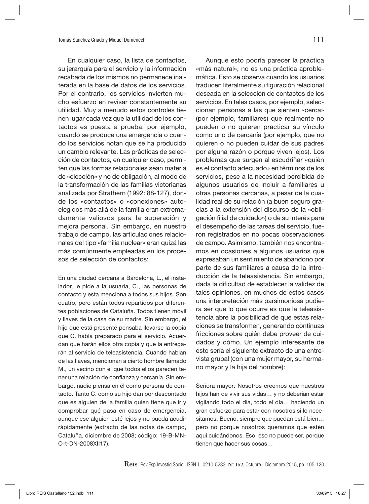En cualquier caso, la lista de contactos, su jerarquía para el servicio y la información recabada de los mismos no permanece inalterada en la base de datos de los servicios. Por el contrario, los servicios invierten mucho esfuerzo en revisar constantemente su utilidad. Muy a menudo estos controles tienen lugar cada vez que la utilidad de los contactos es puesta a prueba: por ejemplo, cuando se produce una emergencia o cuando los servicios notan que se ha producido un cambio relevante. Las prácticas de selección de contactos, en cualquier caso, permiten que las formas relacionales sean materia de «elección» y no de obligación, al modo de la transformación de las familias victorianas analizada por Strathern (1992: 88-127), donde los «contactos» o «conexiones» autoelegidos más allá de la familia eran extremadamente valiosos para la superación y mejora personal. Sin embargo, en nuestro trabajo de campo, las articulaciones relacionales del tipo «familia nuclear» eran quizá las más comúnmente empleadas en los procesos de selección de contactos:

En una ciudad cercana a Barcelona, L., el instalador, le pide a la usuaria, C., las personas de contacto y esta menciona a todos sus hijos. Son cuatro, pero están todos repartidos por diferentes poblaciones de Cataluña. Todos tienen móvil y llaves de la casa de su madre. Sin embargo, el hijo que está presente pensaba llevarse la copia que C. había preparado para el servicio. Acuerdan que harán ellos otra copia y que la entregarán al servicio de teleasistencia. Cuando hablan de las llaves, mencionan a cierto hombre llamado M., un vecino con el que todos ellos parecen tener una relación de confianza y cercanía. Sin embargo, nadie piensa en él como persona de contacto. Tanto C. como su hijo dan por descontado que es alguien de la familia quien tiene que ir y comprobar qué pasa en caso de emergencia, aunque ese alguien esté lejos y no pueda acudir rápidamente (extracto de las notas de campo, Cataluña, diciembre de 2008; código: 19-B-MN-O-t-DN-2008XII17).

Aunque esto podría parecer la práctica «más natural», no es una práctica aproblemática. Esto se observa cuando los usuarios traducen literalmente su figuración relacional deseada en la selección de contactos de los servicios. En tales casos, por ejemplo, seleccionan personas a las que sienten «cerca» (por ejemplo, familiares) que realmente no pueden o no quieren practicar su vínculo como uno de cercanía (por ejemplo, que no quieren o no pueden cuidar de sus padres por alguna razón o porque viven lejos). Los problemas que surgen al escudriñar «quién es el contacto adecuado» en términos de los servicios, pese a la necesidad percibida de algunos usuarios de incluir a familiares u otras personas cercanas, a pesar de la cualidad real de su relación (a buen seguro gracias a la extensión del discurso de la «obligación filial de cuidado») o de su interés para el desempeño de las tareas del servicio, fueron registrados en no pocas observaciones de campo. Asimismo, también nos encontramos en ocasiones a algunos usuarios que expresaban un sentimiento de abandono por parte de sus familiares a causa de la introducción de la teleasistencia. Sin embargo, dada la dificultad de establecer la validez de tales opiniones, en muchos de estos casos una interpretación más parsimoniosa pudiera ser que lo que ocurre es que la teleasistencia abre la posibilidad de que estas relaciones se transformen, generando continuas fricciones sobre quién debe proveer de cuidados y cómo. Un ejemplo interesante de esto sería el siguiente extracto de una entrevista grupal (con una mujer mayor, su hermano mayor y la hija del hombre):

Señora mayor: Nosotros creemos que nuestros hijos han de vivir sus vidas… y no deberían estar vigilando todo el día, todo el día… haciendo un gran esfuerzo para estar con nosotros si lo necesitamos. Bueno, siempre que puedan está bien… pero no porque nosotros queramos que estén aquí cuidándonos. Eso, eso no puede ser, porque tienen que hacer sus cosas…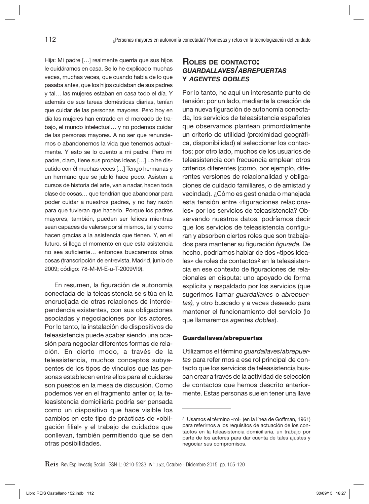Hija: Mi padre […] realmente querría que sus hijos le cuidáramos en casa. Se lo he explicado muchas veces, muchas veces, que cuando habla de lo que pasaba antes, que los hijos cuidaban de sus padres y tal… las mujeres estaban en casa todo el día. Y además de sus tareas domésticas diarias, tenían que cuidar de las personas mayores. Pero hoy en día las mujeres han entrado en el mercado de trabajo, el mundo intelectual… y no podemos cuidar de las personas mayores. A no ser que renunciemos o abandonemos la vida que tenemos actualmente. Y esto se lo cuento a mi padre. Pero mi padre, claro, tiene sus propias ideas […] Lo he discutido con él muchas veces […] Tengo hermanas y un hermano que se jubiló hace poco. Asisten a cursos de historia del arte, van a nadar, hacen toda clase de cosas… que tendrían que abandonar para poder cuidar a nuestros padres, y no hay razón para que tuvieran que hacerlo. Porque los padres mayores, también, pueden ser felices mientras sean capaces de valerse por sí mismos, tal y como hacen gracias a la asistencia que tienen. Y, en el futuro, si llega el momento en que esta asistencia no sea suficiente… entonces buscaremos otras cosas (transcripción de entrevista, Madrid, junio de 2009; código: 78-M-M-E-u-T-2009VI9).

En resumen, la figuración de autonomía conectada de la teleasistencia se sitúa en la encrucijada de otras relaciones de interdependencia existentes, con sus obligaciones asociadas y negociaciones por los actores. Por lo tanto, la instalación de dispositivos de teleasistencia puede acabar siendo una ocasión para negociar diferentes formas de relación. En cierto modo, a través de la teleasistencia, muchos conceptos subyacentes de los tipos de vínculos que las personas establecen entre ellos para el cuidarse son puestos en la mesa de discusión. Como podemos ver en el fragmento anterior, la teleasistencia domiciliaria podría ser pensada como un dispositivo que hace visible los cambios en este tipo de prácticas de «obligación filial» y el trabajo de cuidados que conllevan, también permitiendo que se den otras posibilidades.

## Roles de contacto: *guardallaves/abrepuertas* y *agentes dobles*

Por lo tanto, he aquí un interesante punto de tensión: por un lado, mediante la creación de una nueva figuración de autonomía conectada, los servicios de teleasistencia españoles que observamos plantean primordialmente un criterio de utilidad (proximidad geográfica, disponibilidad) al seleccionar los contactos; por otro lado, muchos de los usuarios de teleasistencia con frecuencia emplean otros criterios diferentes (como, por ejemplo, diferentes versiones de relacionalidad y obligaciones de cuidado familiares, o de amistad y vecindad). ¿Cómo es gestionada o manejada esta tensión entre «figuraciones relacionales» por los servicios de teleasistencia? Observando nuestros datos, podríamos decir que los servicios de teleasistencia configuran y absorben ciertos roles que son trabajados para mantener su figuración *figurada.* De hecho, podríamos hablar de dos «tipos ideales» de roles de contactos2 en la teleasistencia en ese contexto de figuraciones de relacionales en disputa: uno apoyado de forma explícita y respaldado por los servicios (que sugerimos llamar *guardallaves* o *abrepuertas),* y otro buscado y a veces deseado para mantener el funcionamiento del servicio (lo que llamaremos *agentes dobles*).

#### Guardallaves/abrepuertas

Utilizamos el término *guardallaves/abrepuertas* para referirnos a ese rol principal de contacto que los servicios de teleasistencia buscan crear a través de la actividad de selección de contactos que hemos descrito anteriormente. Estas personas suelen tener una llave

<sup>2</sup> Usamos el término «rol» (en la línea de Goffman, 1961) para referirnos a los requisitos de actuación de los contactos en la teleasistencia domiciliaria, un trabajo por parte de los actores para dar cuenta de tales ajustes y negociar sus compromisos.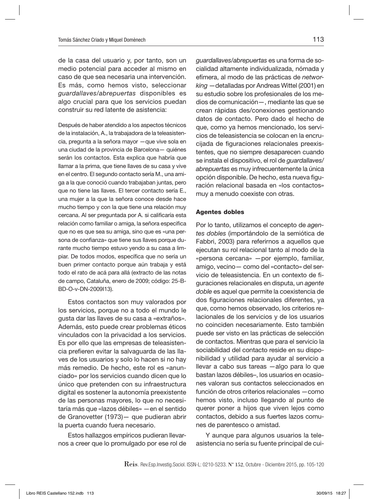de la casa del usuario y, por tanto, son un medio potencial para acceder al mismo en caso de que sea necesaria una intervención. Es más, como hemos visto, seleccionar *guardallaves/abrepuertas* disponibles es algo crucial para que los servicios puedan construir su red latente de asistencia:

Después de haber atendido a los aspectos técnicos de la instalación, A., la trabajadora de la teleasistencia, pregunta a la señora mayor —que vive sola en una ciudad de la provincia de Barcelona— quiénes serán los contactos. Esta explica que habría que llamar a la prima, que tiene llaves de su casa y vive en el centro. El segundo contacto sería M., una amiga a la que conoció cuando trabajaban juntas, pero que no tiene las llaves. El tercer contacto sería E., una mujer a la que la señora conoce desde hace mucho tiempo y con la que tiene una relación muy cercana. Al ser preguntada por A. si calificaría esta relación como familiar o amiga, la señora especifica que no es que sea su amiga, sino que es «una persona de confianza» que tiene sus llaves porque durante mucho tiempo estuvo yendo a su casa a limpiar. De todos modos, específica que no sería un buen primer contacto porque aún trabaja y está todo el rato de acá para allá (extracto de las notas de campo, Cataluña, enero de 2009; código: 25-B-BD-O-v-DN-2009I13).

Estos contactos son muy valorados por los servicios, porque no a todo el mundo le gusta dar las llaves de su casa a «extraños». Además, esto puede crear problemas éticos vinculados con la privacidad a los servicios. Es por ello que las empresas de teleasistencia prefieren evitar la salvaguarda de las llaves de los usuarios y solo lo hacen si no hay más remedio. De hecho, este rol es «anunciado» por los servicios cuando dicen que lo único que pretenden con su infraestructura digital es sostener la autonomía preexistente de las personas mayores, lo que no necesitaría más que «lazos débiles» —en el sentido de Granovetter (1973)— que pudieran abrir la puerta cuando fuera necesario.

Estos hallazgos empíricos pudieran llevarnos a creer que lo promulgado por ese rol de *guardallaves/abrepuertas* es una forma de socialidad altamente individualizada, nómada y efímera, al modo de las prácticas de *networking* —detalladas por Andreas Wittel (2001) en su estudio sobre los profesionales de los medios de comunicación—, mediante las que se crean rápidas des/conexiones gestionando datos de contacto. Pero dado el hecho de que, como ya hemos mencionado, los servicios de teleasistencia se colocan en la encrucijada de figuraciones relacionales preexistentes, que no siempre desaparecen cuando se instala el dispositivo, el rol de *guardallaves/ abrepuertas* es muy infrecuentemente la única opción disponible. De hecho, esta nueva figuración relacional basada en «los contactos» muy a menudo coexiste con otras.

#### Agentes dobles

Por lo tanto, utilizamos el concepto de *agentes dobles* (importándolo de la semiótica de Fabbri, 2003) para referirnos a aquellos que ejecutan su rol relacional tanto al modo de la «persona cercana» —por ejemplo, familiar, amigo, vecino— como del «contacto» del servicio de teleasistencia. En un contexto de figuraciones relacionales en disputa, un *agente doble* es aquel que permite la coexistencia de dos figuraciones relacionales diferentes, ya que, como hemos observado, los criterios relacionales de los servicios y de los usuarios no coinciden necesariamente. Esto también puede ser visto en las prácticas de selección de contactos. Mientras que para el servicio la sociabilidad del contacto reside en su disponibilidad y utilidad para ayudar al servicio a llevar a cabo sus tareas —algo para lo que bastan lazos débiles–, los usuarios en ocasiones valoran sus contactos seleccionados en función de otros criterios relacionales —como hemos visto, incluso llegando al punto de querer poner a hijos que viven lejos como contactos, debido a sus fuertes lazos comunes de parentesco o amistad.

Y aunque para algunos usuarios la teleasistencia no sería su fuente principal de cui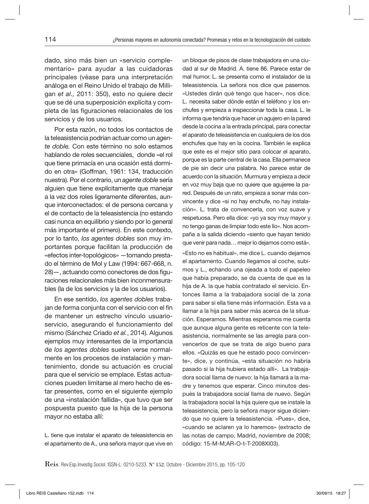dado, sino más bien un «servicio complementario» para ayudar a las cuidadoras principales (véase para una interpretación análoga en el Reino Unido el trabajo de Milligan *et al.,* 2011: 350), esto no quiere decir que se dé una superposición explícita y completa de las figuraciones relacionales de los servicios y de los usuarios.

Por esta razón, no todos los contactos de la teleasistencia podrían actuar como un *agente doble.* Con este término no solo estamos hablando de roles secuenciales, donde «el rol que tiene primacía en una ocasión está dormido en otra» (Goffman, 1961: 134, traducción nuestra). Por el contrario, un *agente doble* sería alguien que tiene explícitamente que manejar a la vez dos roles ligeramente diferentes, aunque interconectados: el de persona cercana y el de contacto de la teleasistencia (no estando casi nunca en equilibrio y siendo por lo general más importante el primero). En este contexto, por lo tanto, *los agentes dobles* son muy importantes porque facilitan la producción de «efectos inter-topológicos» —tomando prestado el término de Mol y Law (1994: 667-668, n. 28)—, actuando como conectores de dos figuraciones relacionales más bien inconmensurables (la de los servicios y la de los usuarios).

En ese sentido, *los agentes dobles* trabajan de forma conjunta con el servicio con el fin de mantener un estrecho vínculo usuarioservicio, asegurando el funcionamiento del mismo (Sánchez Criado *et al.*, 2014). Algunos ejemplos muy interesantes de la importancia de *los agentes dobles* suelen verse normalmente en los procesos de instalación y mantenimiento, donde su actuación es crucial para que el servicio se emplace. Estas actuaciones pueden limitarse al mero hecho de estar presentes, como en el siguiente ejemplo de una «instalación fallida», que tuvo que ser pospuesta puesto que la hija de la persona mayor no estaba allí:

L. tiene que instalar el aparato de teleasistencia en el apartamento de A., una señora mayor que vive en un bloque de pisos de clase trabajadora en una ciudad al sur de Madrid. A. tiene 86. Parece estar de mal humor. L. se presenta como el instalador de la teleasistencia. La señora nos dice que pasemos. «Ustedes dirán qué tengo que hacer», nos dice. L. necesita saber dónde están el teléfono y los enchufes y empieza a inspeccionar toda la casa. L. le informa que tendría que hacer un agujero en la pared desde la cocina a la entrada principal, para conectar el aparato de teleasistencia en cualquiera de los dos enchufes que hay en la cocina. También le explica que este es el mejor sitio para colocar el aparato, porque es la parte central de la casa. Ella permanece de pie sin decir una palabra. No parece estar de acuerdo con la situación. Murmura y empieza a decir en voz muy baja que no quiere que agujeree la pared. Después de un rato, empieza a sonar más convincente y dice «si no hay enchufe, no hay instalación». L. trata de convencerla, con voz suave y respetuosa. Pero ella dice: «yo ya soy muy mayor y no tengo ganas de limpiar todo este lío». Nos acompaña a la salida diciendo «siento que hayan tenido que venir para nada… mejor lo dejamos como está».

«Esto no es habitual», me dice L. cuando dejamos el apartamento. Cuando llegamos al coche, subimos y L., echando una ojeada a todo el papeleo que había preparado, se da cuenta de que es la hija de A. la que había contratado el servicio. Entonces llama a la trabajadora social de la zona para saber si ella tiene más información. Esta va a llamar a la hija para saber más acerca de la situación. Esperamos. Mientras esperamos me cuenta que aunque alguna gente es reticente con la teleasistencia, normalmente se las arregla para convencerlos de que se trata de algo bueno para ellos. «Quizás es que he estado poco convincente», dice, y continúa, «esta situación no habría pasado si la hija hubiera estado allí». La trabajadora social llama de nuevo: la hija llamará a la madre y tenemos que esperar. Cinco minutos después la trabajadora social llama de nuevo. Según la trabajadora social la hija quiere que se instale la teleasistencia, pero la señora mayor sigue diciendo que no quiere la teleasistencia. «Pues», dice, «cuando se aclaren ya lo haremos» (extracto de las notas de campo, Madrid, noviembre de 2008; código: 15-M-M;AR-O-t-T-2008XI03).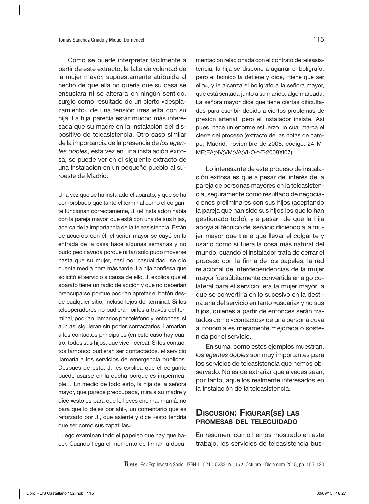Como se puede interpretar fácilmente a partir de este extracto, la falta de voluntad de la mujer mayor, supuestamente atribuida al hecho de que ella no quería que su casa se ensuciara ni se alterara en ningún sentido, surgió como resultado de un cierto «desplazamiento» de una tensión irresuelta con su hija. La hija parecía estar mucho más interesada que su madre en la instalación del dispositivo de teleasistencia. Otro caso similar de la importancia de la presencia de *los agentes dobles*, esta vez en una instalación exitosa, se puede ver en el siguiente extracto de una instalación en un pequeño pueblo al suroeste de Madrid:

Una vez que se ha instalado el aparato, y que se ha comprobado que tanto el terminal como el colgante funcionan correctamente, J. (el instalador) habla con la pareja mayor, que está con una de sus hijas, acerca de la importancia de la teleasistencia. Están de acuerdo con él: el señor mayor se cayó en la entrada de la casa hace algunas semanas y no pudo pedir ayuda porque ni tan solo pudo moverse hasta que su mujer, casi por casualidad, se dio cuenta media hora más tarde. La hija confiesa que solicitó el servicio a causa de ello. J. explica que el aparato tiene un radio de acción y que no deberían preocuparse porque podrían apretar el botón desde cualquier sitio, incluso lejos del terminal. Si los teleoperadores no pudieran oírlos a través del terminal, podrían llamarlos por teléfono y, entonces, si aún así siguieran sin poder contactarlos, llamarían a los contactos principales (en este caso hay cuatro, todos sus hijos, que viven cerca). Si los contactos tampoco pudieran ser contactados, el servicio llamaría a los servicios de emergencia públicos. Después de esto, J. les explica que el colgante puede usarse en la ducha porque es impermeable… En medio de todo esto, la hija de la señora mayor, que parece preocupada, mira a su madre y dice «esto es para que lo lleves encima, mamá, no para que lo dejes por ahí», un comentario que es reforzado por J., que asiente y dice «esto tendría que ser como sus zapatillas».

Luego examinan todo el papeleo que hay que hacer. Cuando llega el momento de firmar la documentación relacionada con el contrato de teleasistencia, la hija se dispone a agarrar el bolígrafo, pero el técnico la detiene y dice, «tiene que ser ella», y le alcanza el bolígrafo a la señora mayor, que está sentada junto a su marido, algo mareada. La señora mayor dice que tiene ciertas dificultades para escribir debido a ciertos problemas de presión arterial, pero el instalador insiste. Así pues, hace un enorme esfuerzo, lo cual marca el cierre del proceso (extracto de las notas de campo, Madrid, noviembre de 2008; código: 24-M-ME;EA;NV;VM;VA;VI-O-t-T-2008XI07).

Lo interesante de este proceso de instalación exitosa es que a pesar del interés de la pareja de personas mayores en la teleasistencia, seguramente como resultado de negociaciones preliminares con sus hijos (aceptando la pareja que han sido sus hijos los que lo han gestionado todo), y a pesar de que la hija apoya al técnico del servicio diciendo a la mujer mayor que tiene que llevar el colgante y usarlo como si fuera la cosa más natural del mundo, cuando el instalador trata de cerrar el proceso con la firma de los papeles, la red relacional de interdependencias de la mujer mayor fue súbitamente convertida en algo colateral para el servicio: era la mujer mayor la que se convertiría en lo sucesivo en la destinataria del servicio en tanto «usuaria» y no sus hijos, quienes a partir de entonces serán tratados como «contactos» de una persona cuya autonomía es meramente mejorada o sostenida por el servicio.

En suma, como estos ejemplos muestran, *los agentes dobles* son muy importantes para los servicios de teleasistencia que hemos observado. No es de extrañar que a veces sean, por tanto, aquellos realmente interesados en la instalación de la teleasistencia.

#### Discusión: Figurar(se) las promesas del telecuidado

En resumen, como hemos mostrado en este trabajo, los servicios de teleasistencia bus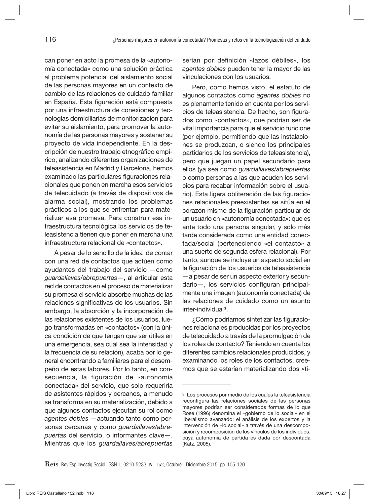can poner en acto la promesa de la «autonomía conectada» como una solución práctica al problema potencial del aislamiento social de las personas mayores en un contexto de cambio de las relaciones de cuidado familiar en España. Esta figuración está compuesta por una infraestructura de conexiones y tecnologías domiciliarias de monitorización para evitar su aislamiento, para promover la autonomía de las personas mayores y sostener su proyecto de vida independiente. En la descripción de nuestro trabajo etnográfico empírico, analizando diferentes organizaciones de teleasistencia en Madrid y Barcelona, hemos examinado las particulares figuraciones relacionales que ponen en marcha esos servicios de telecuidado (a través de dispositivos de alarma social), mostrando los problemas prácticos a los que se enfrentan para materializar esa promesa. Para construir esa infraestructura tecnológica los servicios de teleasistencia tienen que poner en marcha una infraestructura relacional de «contactos».

A pesar de lo sencillo de la idea de contar con una red de contactos que actúen como ayudantes del trabajo del servicio —como *guardallaves/abrepuertas*—, al articular esta red de contactos en el proceso de materializar su promesa el servicio absorbe muchas de las relaciones significativas de los usuarios. Sin embargo, la absorción y la incorporación de las relaciones existentes de los usuarios, luego transformadas en «contactos» (con la única condición de que tengan que ser útiles en una emergencia, sea cual sea la intensidad y la frecuencia de su relación), acaba por lo general encontrando a familiares para el desempeño de estas labores. Por lo tanto, en consecuencia, la figuración de «autonomía conectada» del servicio, que solo requeriría de asistentes rápidos y cercanos, a menudo se transforma en su materialización, debido a que algunos contactos ejecutan su rol como *agentes dobles* —actuando tanto como personas cercanas y como *guardallaves/abrepuertas* del servicio, o informantes clave—. Mientras que los *guardallaves/abrepuertas*

serían por definición «lazos débiles», los *agentes dobles* pueden tener la mayor de las vinculaciones con los usuarios.

Pero, como hemos visto, el estatuto de algunos contactos como *agentes dobles* no es plenamente tenido en cuenta por los servicios de teleasistencia. De hecho, son figurados como «contactos», que podrían ser de vital importancia para que el servicio funcione (por ejemplo, permitiendo que las instalaciones se produzcan, o siendo los principales partidarios de los servicios de teleasistencia), pero que juegan un papel secundario para ellos (ya sea como *guardallaves/abrepuertas* o como personas a las que acuden los servicios para recabar información sobre el usuario). Esta ligera obliteración de las figuraciones relacionales preexistentes se sitúa en el corazón mismo de la figuración particular de un usuario en «autonomía conectada»: que es ante todo una persona singular, y solo más tarde considerada como una entidad conectada/social (perteneciendo «el contacto» a una suerte de segunda esfera relacional). Por tanto, aunque se incluye un aspecto social en la figuración de los usuarios de teleasistencia —a pesar de ser un aspecto exterior y secundario—, los servicios configuran principalmente una imagen (autonomía conectada) de las relaciones de cuidado como un asunto inter-individual3.

¿Cómo podríamos sintetizar las figuraciones relacionales producidas por los proyectos de telecuidado a través de la promulgación de los roles de contacto? Teniendo en cuenta los diferentes cambios relacionales producidos, y examinando los roles de los contactos, creemos que se estarían materializando dos «ti-

<sup>3</sup> Los procesos por medio de los cuales la teleasistencia reconfigura las relaciones sociales de las personas mayores podrían ser considerados formas de lo que Rose (1996) denomina el «gobierno de lo social» en el liberalismo avanzado: el análisis de los expertos y la intervención de «lo social» a través de una descomposición y recomposición de los vínculos de los individuos, cuya autonomía de partida es dada por descontada (Katz, 2005).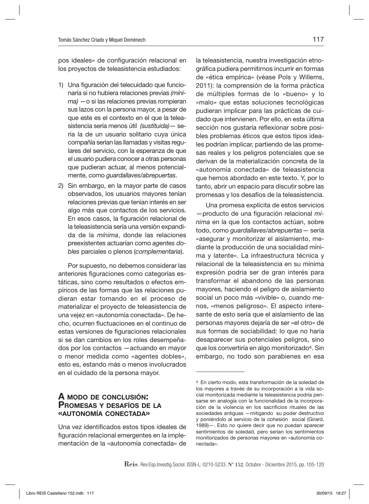pos ideales» de configuración relacional en los proyectos de teleasistencia estudiados:

- 1) Una figuración del telecuidado que funcionaría si no hubiera relaciones previas *(mínima)* —o si las relaciones previas rompieran sus lazos con la persona mayor, a pesar de que este es el contexto en el que la teleasistencia sería menos útil *(sustituida)*— sería la de un usuario solitario cuya única compañía serían las llamadas y visitas regulares del servicio, con la esperanza de que el usuario pudiera conocer a otras personas que pudieran actuar, al menos potencialmente, como *guardallaves/abrepuertas*.
- 2) Sin embargo, en la mayor parte de casos observados, los usuarios mayores tenían relaciones previas que tenían interés en ser algo más que contactos de los servicios. En esos casos, la figuración relacional de la teleasistencia sería una versión expandida de la *mínima*, donde las relaciones preexistentes actuarían como *agentes dobles* parciales o plenos (*complementaria*).

Por supuesto, no debemos considerar las anteriores figuraciones como categorías estáticas, sino como resultados o efectos empíricos de las formas que las relaciones pudieran estar tomando en el proceso de materializar el proyecto de teleasistencia de una vejez en «autonomía conectada». De hecho, ocurren fluctuaciones en el continuo de estas versiones de figuraciones relacionales si se dan cambios en los roles desempeñados por los contactos —actuando en mayor o menor medida como «agentes dobles», esto es, estando más o menos involucrados en el cuidado de la persona mayor.

## A modo de conclusión: Promesas <sup>y</sup> desafíos de la «autonomía conectada»

Una vez identificados estos tipos ideales de figuración relacional emergentes en la implementación de la «autonomía conectada» de

la teleasistencia, nuestra investigación etnográfica pudiera permitirnos incurrir en formas de «ética empírica» (véase Pols y Willems, 2011): la comprensión de la forma práctica de múltiples formas de lo «bueno» y lo «malo» que estas soluciones tecnológicas pudieran implicar para las prácticas de cuidado que intervienen. Por ello, en esta última sección nos gustaría reflexionar sobre posibles problemas éticos que estos tipos ideales podrían implicar, partiendo de las promesas reales y los peligros potenciales que se derivan de la materialización concreta de la «autonomía conectada» de teleasistencia que hemos abordado en este texto. Y, por lo tanto, abrir un espacio para discutir sobre las promesas y los desafíos de la teleasistencia.

Una promesa explícita de estos servicios —producto de una figuración relacional *mínima* en la que los contactos actúan, sobre todo, como *guardallaves/abrepuertas*— sería «asegurar y monitorizar el aislamiento, mediante la producción de una socialidad mínima y latente». La infraestructura técnica y relacional de la teleasistencia en su mínima expresión podría ser de gran interés para transformar el abandono de las personas mayores, haciendo el peligro de aislamiento social un poco más «vivible» o, cuando menos, «menos peligroso». El aspecto interesante de esto sería que el aislamiento de las personas mayores dejaría de ser «el otro» de sus formas de sociabilidad: lo que no haría desaparecer sus potenciales peligros, sino que los convertiría en algo monitorizado4. Sin embargo, no todo son parabienes en esa

<sup>4</sup> En cierto modo, esta transformación de la soledad de los mayores a través de su incorporación a la vida social monitorizada mediante la teleasistencia podría pensarse en analogía con la funcionalidad de la incorporación de la violencia en los sacrificios rituales de las sociedades antiguas —mitigando su poder destructivo y poniéndolo al servicio de la cohesión social (Girard, 1989)—. Esto no quiere decir que no puedan aparecer sentimientos de soledad, pero serían los sentimientos monitorizados de personas mayores en «autonomía conectada».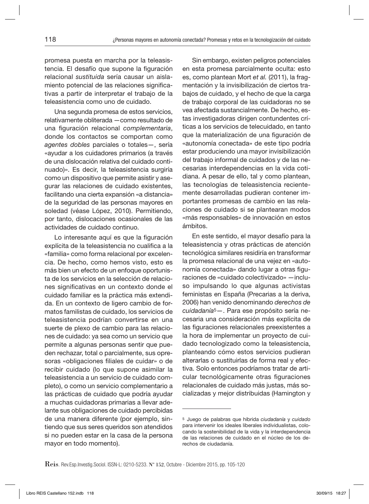promesa puesta en marcha por la teleasistencia. El desafío que supone la figuración relacional *sustituida* sería causar un aislamiento potencial de las relaciones significativas a partir de interpretar el trabajo de la teleasistencia como uno de cuidado.

Una segunda promesa de estos servicios, relativamente obliterada —como resultado de una figuración relacional *complementaria*, donde los contactos se comportan como *agentes dobles* parciales o totales—, sería «ayudar a los cuidadores primarios (a través de una dislocación relativa del cuidado continuado)». Es decir, la teleasistencia surgiría como un dispositivo que permite asistir y asegurar las relaciones de cuidado existentes, facilitando una cierta expansión «a distancia» de la seguridad de las personas mayores en soledad (véase López, 2010). Permitiendo, por tanto, dislocaciones ocasionales de las actividades de cuidado continuo.

Lo interesante aquí es que la figuración explícita de la teleasistencia no cualifica a la «familia» como forma relacional por excelencia. De hecho, como hemos visto, esto es más bien un efecto de un enfoque oportunista de los servicios en la selección de relaciones significativas en un contexto donde el cuidado familiar es la práctica más extendida. En un contexto de ligero cambio de formatos familistas de cuidado, los servicios de teleasistencia podrían convertirse en una suerte de plexo de cambio para las relaciones de cuidado: ya sea como un servicio que permite a algunas personas sentir que pueden rechazar, total o parcialmente, sus opresoras «obligaciones filiales de cuidar» o de recibir cuidado (lo que supone asimilar la teleasistencia a un servicio de cuidado completo), o como un servicio complementario a las prácticas de cuidado que podría ayudar a muchas cuidadoras primarias a llevar adelante sus obligaciones de cuidado percibidas de una manera diferente (por ejemplo, sintiendo que sus seres queridos son atendidos si no pueden estar en la casa de la persona mayor en todo momento).

Sin embargo, existen peligros potenciales en esta promesa parcialmente oculta: esto es, como plantean Mort *et al.* (2011), la fragmentación y la invisibilización de ciertos trabajos de cuidado, y el hecho de que la carga de trabajo corporal de las cuidadoras no se vea afectada sustancialmente. De hecho, estas investigadoras dirigen contundentes críticas a los servicios de telecuidado, en tanto que la materialización de una figuración de «autonomía conectada» de este tipo podría estar produciendo una mayor invisibilización del trabajo informal de cuidados y de las necesarias interdependencias en la vida cotidiana. A pesar de ello, tal y como plantean, las tecnologías de teleasistencia recientemente desarrolladas pudieran contener importantes promesas de cambio en las relaciones de cuidado si se plantearan modos «más responsables» de innovación en estos ámbitos.

En este sentido, el mayor desafío para la teleasistencia y otras prácticas de atención tecnológica similares residiría en transformar la promesa relacional de una vejez en «autonomía conectada» dando lugar a otras figuraciones de «cuidado colectivizado» —incluso impulsando lo que algunas activistas feministas en España (Precarias a la deriva, 2006) han venido denominando *derechos de cuidadanía*5—. Para ese propósito sería necesaria una consideración más explícita de las figuraciones relacionales preexistentes a la hora de implementar un proyecto de cuidado tecnologizado como la teleasistencia, planteando cómo estos servicios pudieran alterarlas o sustituirlas de forma real y efectiva. Solo entonces podríamos tratar de articular tecnológicamente otras figuraciones relacionales de cuidado más justas, más socializadas y mejor distribuidas (Hamington y

<sup>5</sup> Juego de palabras que hibrida *ciudadanía* y *cuidado* para intervenir los ideales liberales individualistas, colocando la sostenibilidad de la vida y la interdependencia de las relaciones de cuidado en el núcleo de los derechos de ciudadanía.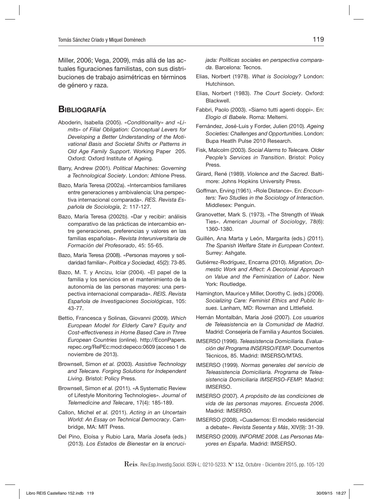Miller, 2006; Vega, 2009), más allá de las actuales figuraciones familistas, con sus distribuciones de trabajo asimétricas en términos de género y raza.

## **BIBLIOGRAFÍA**

- Aboderin, Isabella (2005). *«Conditionality» and «Limits» of Filial Obligation: Conceptual Levers for Developing a Better Understanding of the Motivational Basis and Societal Shifts or Patterns in Old Age Family Support*. Working Paper 205. Oxford: Oxford Institute of Ageing.
- Barry, Andrew (2001). *Political Machines: Governing a Technological Society*. London: Athlone Press.
- Bazo, María Teresa (2002a). «Intercambios familiares entre generaciones y ambivalencia: Una perspectiva internacional comparada». *RES. Revista Española de Sociología*, 2: 117-127.
- Bazo, María Teresa (2002b). «Dar y recibir: análisis comparativo de las prácticas de intercambio entre generaciones, preferencias y valores en las familias españolas». *Revista Interuniversitaria de Formación del Profesorado*, 45: 55-65.
- Bazo, María Teresa (2008). «Personas mayores y solidaridad familiar». *Política y Sociedad,* 45(2): 73-85.
- Bazo, M. T. y Ancizu, Icíar (2004). «El papel de la familia y los servicios en el mantenimiento de la autonomía de las personas mayores: una perspectiva internacional comparada». *REIS. Revista Española de Investigaciones Sociológicas*, 105: 43-77.
- Bettio, Francesca y Solinas, Giovanni (2009). *Which European Model for Elderly Care? Equity and Cost-effectiveness in Home Based Care in Three European Countries* (online). http://EconPapers. repec.org/RePEc:mod:depeco:0609 (acceso 1 de noviembre de 2013).
- Brownsell, Simon *et al.* (2003). *Assistive Technology and Telecare. Forging Solutions for Independent Living*. Bristol: Policy Press.
- Brownsell, Simon *et al.* (2011). «A Systematic Review of Lifestyle Monitoring Technologies». *Journal of Telemedicine and Telecare*, 17(4): 185-189.
- Callon, Michel *et al.* (2011). *Acting in an Uncertain World: An Essay on Technical Democracy*. Cambridge, MA: MIT Press.
- Del Pino, Eloísa y Rubio Lara, María Josefa (eds.) (2013). *Los Estados de Bienestar en la encruci-*

*jada: Políticas sociales en perspectiva comparada*. Barcelona: Tecnos.

- Elias, Norbert (1978). *What is Sociology?* London: Hutchinson.
- Elias, Norbert (1983). *The Court Society*. Oxford: Blackwell.
- Fabbri, Paolo (2003). «Siamo tutti agenti doppi». En: *Elogio di Babele*. Roma: Meltemi.
- Fernández, José-Luis y Forder, Julien (2010). *Ageing Societies: Challenges and Opportunities*. London: Bupa Heatlh Pulse 2010 Research.
- Fisk, Malcolm (2003). *Social Alarms to Telecare. Older People's Services in Transition*. Bristol: Policy Press.
- Girard, René (1989). *Violence and the Sacred*. Baltimore: Johns Hopkins University Press.
- Goffman, Erving (1961). «Role Distance». En: *Encounters: Two Studies in the Sociology of Interaction*. Middlesex: Penguin.
- Granovetter, Mark S. (1973). «The Strength of Weak Ties». *American Journal of Sociology*, 78(6): 1360-1380.
- Guillén, Ana Marta y León, Margarita (eds.) (2011). *The Spanish Welfare State in European Context*. Surrey: Ashgate.
- Gutiérrez-Rodríguez, Encarna (2010). *Migration, Domestic Work and Affect: A Decolonial Approach on Value and the Feminization of Labor*. New York: Routledge.
- Hamington, Maurice y Miller, Dorothy C. (eds.) (2006). *Socializing Care: Feminist Ethics and Public Issues*. Lanham, MD: Rowman and Littlefield.
- Hernán Montalbán, María José (2007). *Los usuarios de Teleasistencia en la Comunidad de Madrid*. Madrid: Consejería de Familia y Asuntos Sociales.
- IMSERSO (1996). *Teleasistencia Domiciliaria. Evaluación del Programa INSERSO/FEMP*. Documentos Técnicos, 85. Madrid: IMSERSO/MTAS.
- IMSERSO (1999). *Normas generales del servicio de Teleasistencia Domiciliaria. Programa de Teleasistencia Domiciliaria IMSERSO-FEMP.* Madrid: IMSERSO.
- IMSERSO (2007). *A propósito de las condiciones de vida de las personas mayores. Encuesta 2006*. Madrid: IMSERSO.
- IMSERSO (2008). «Cuadernos: El modelo residencial a debate». *Revista Sesenta y Más*, XIV(9): 31-39.
- IMSERSO (2009). *INFORME 2008. Las Personas Mayores en España*. Madrid: IMSERSO.